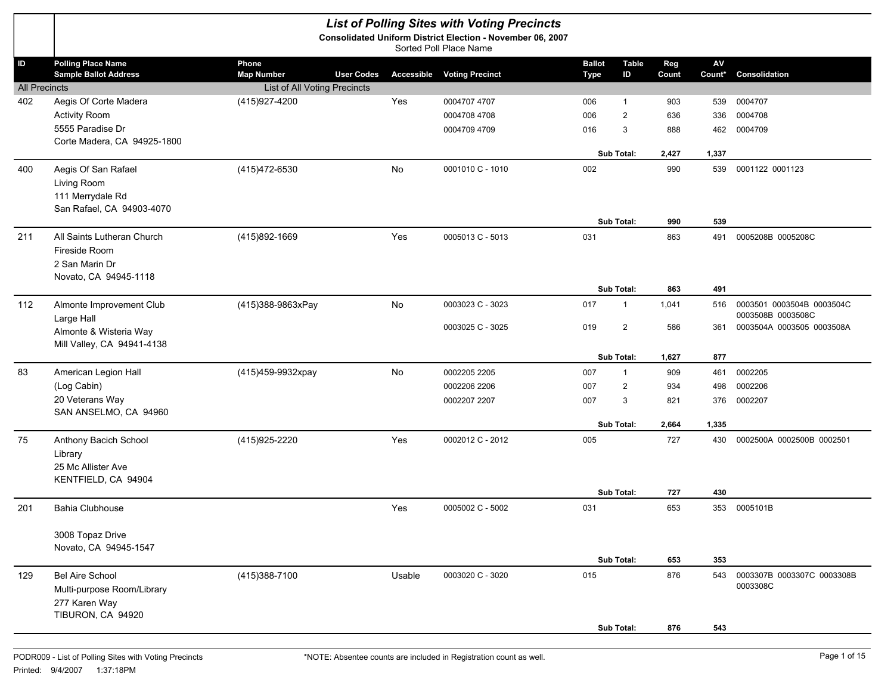|                      |                                           |                                                   |                   |           | <b>List of Polling Sites with Voting Precincts</b>                                   |               |                   |       |               |                            |
|----------------------|-------------------------------------------|---------------------------------------------------|-------------------|-----------|--------------------------------------------------------------------------------------|---------------|-------------------|-------|---------------|----------------------------|
|                      |                                           |                                                   |                   |           | Consolidated Uniform District Election - November 06, 2007<br>Sorted Poll Place Name |               |                   |       |               |                            |
| $\mathsf{ID}$        | <b>Polling Place Name</b>                 | Phone                                             |                   |           |                                                                                      | <b>Ballot</b> | <b>Table</b>      | Reg   | $\mathsf{AV}$ |                            |
| <b>All Precincts</b> | <b>Sample Ballot Address</b>              | <b>Map Number</b><br>List of All Voting Precincts | <b>User Codes</b> |           | <b>Accessible Voting Precinct</b>                                                    | <b>Type</b>   | ID                | Count | Count*        | Consolidation              |
| 402                  | Aegis Of Corte Madera                     | (415) 927-4200                                    |                   | Yes       | 0004707 4707                                                                         | 006           | $\overline{1}$    | 903   | 539           | 0004707                    |
|                      | <b>Activity Room</b>                      |                                                   |                   |           | 0004708 4708                                                                         | 006           | $\overline{2}$    | 636   | 336           | 0004708                    |
|                      | 5555 Paradise Dr                          |                                                   |                   |           | 0004709 4709                                                                         | 016           | 3                 | 888   | 462           | 0004709                    |
|                      | Corte Madera, CA 94925-1800               |                                                   |                   |           |                                                                                      |               | Sub Total:        | 2,427 | 1,337         |                            |
| 400                  | Aegis Of San Rafael                       | (415) 472-6530                                    |                   | No        | 0001010 C - 1010                                                                     | 002           |                   | 990   | 539           | 0001122 0001123            |
|                      | Living Room                               |                                                   |                   |           |                                                                                      |               |                   |       |               |                            |
|                      | 111 Merrydale Rd                          |                                                   |                   |           |                                                                                      |               |                   |       |               |                            |
|                      | San Rafael, CA 94903-4070                 |                                                   |                   |           |                                                                                      |               |                   |       |               |                            |
|                      |                                           |                                                   |                   |           |                                                                                      |               | Sub Total:        | 990   | 539           |                            |
| 211                  | All Saints Lutheran Church                | (415)892-1669                                     |                   | Yes       | 0005013 C - 5013                                                                     | 031           |                   | 863   | 491           | 0005208B 0005208C          |
|                      | Fireside Room<br>2 San Marin Dr           |                                                   |                   |           |                                                                                      |               |                   |       |               |                            |
|                      | Novato, CA 94945-1118                     |                                                   |                   |           |                                                                                      |               |                   |       |               |                            |
|                      |                                           |                                                   |                   |           |                                                                                      |               | Sub Total:        | 863   | 491           |                            |
| 112                  | Almonte Improvement Club                  | (415)388-9863xPay                                 |                   | <b>No</b> | 0003023 C - 3023                                                                     | 017           | $\overline{1}$    | 1,041 | 516           | 0003501 0003504B 0003504C  |
|                      | Large Hall                                |                                                   |                   |           |                                                                                      |               |                   |       |               | 0003508B 0003508C          |
|                      | Almonte & Wisteria Way                    |                                                   |                   |           | 0003025 C - 3025                                                                     | 019           | $\overline{2}$    | 586   | 361           | 0003504A 0003505 0003508A  |
|                      | Mill Valley, CA 94941-4138                |                                                   |                   |           |                                                                                      |               | <b>Sub Total:</b> | 1,627 | 877           |                            |
| 83                   | American Legion Hall                      | (415)459-9932xpay                                 |                   | <b>No</b> | 0002205 2205                                                                         | 007           | $\overline{1}$    | 909   | 461           | 0002205                    |
|                      | (Log Cabin)                               |                                                   |                   |           | 0002206 2206                                                                         | 007           | $\overline{2}$    | 934   | 498           | 0002206                    |
|                      | 20 Veterans Way                           |                                                   |                   |           | 0002207 2207                                                                         | 007           | 3                 | 821   | 376           | 0002207                    |
|                      | SAN ANSELMO, CA 94960                     |                                                   |                   |           |                                                                                      |               |                   |       |               |                            |
|                      |                                           |                                                   |                   |           |                                                                                      |               | Sub Total:        | 2,664 | 1,335         |                            |
| 75                   | Anthony Bacich School                     | (415) 925-2220                                    |                   | Yes       | 0002012 C - 2012                                                                     | 005           |                   | 727   | 430           | 0002500A 0002500B 0002501  |
|                      | Library                                   |                                                   |                   |           |                                                                                      |               |                   |       |               |                            |
|                      | 25 Mc Allister Ave<br>KENTFIELD, CA 94904 |                                                   |                   |           |                                                                                      |               |                   |       |               |                            |
|                      |                                           |                                                   |                   |           |                                                                                      |               | Sub Total:        | 727   | 430           |                            |
| 201                  | Bahia Clubhouse                           |                                                   |                   | Yes       | 0005002 C - 5002                                                                     | 031           |                   | 653   | 353           | 0005101B                   |
|                      |                                           |                                                   |                   |           |                                                                                      |               |                   |       |               |                            |
|                      | 3008 Topaz Drive                          |                                                   |                   |           |                                                                                      |               |                   |       |               |                            |
|                      | Novato, CA 94945-1547                     |                                                   |                   |           |                                                                                      |               | Sub Total:        | 653   | 353           |                            |
| 129                  | <b>Bel Aire School</b>                    | (415) 388-7100                                    |                   | Usable    | 0003020 C - 3020                                                                     | 015           |                   | 876   | 543           | 0003307B 0003307C 0003308B |
|                      | Multi-purpose Room/Library                |                                                   |                   |           |                                                                                      |               |                   |       |               | 0003308C                   |
|                      | 277 Karen Way                             |                                                   |                   |           |                                                                                      |               |                   |       |               |                            |
|                      | TIBURON, CA 94920                         |                                                   |                   |           |                                                                                      |               |                   |       |               |                            |
|                      |                                           |                                                   |                   |           |                                                                                      |               | Sub Total:        | 876   | 543           |                            |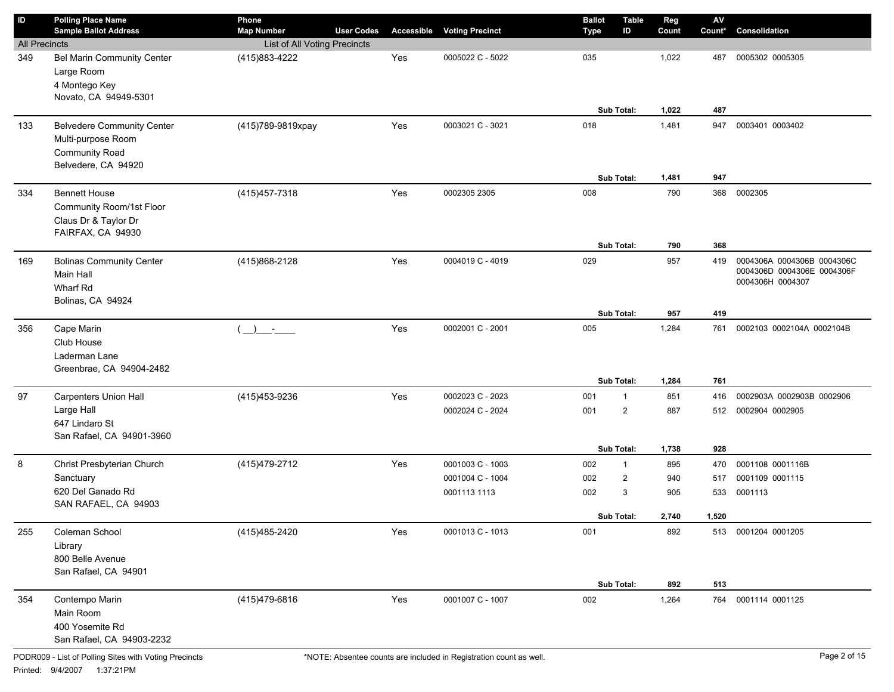| $\sf ID$             | <b>Polling Place Name</b>                        | Phone                               |                   |            |                        | <b>Ballot</b> | <b>Table</b>      | Reg   | ${\sf AV}$ |                            |
|----------------------|--------------------------------------------------|-------------------------------------|-------------------|------------|------------------------|---------------|-------------------|-------|------------|----------------------------|
|                      | <b>Sample Ballot Address</b>                     | <b>Map Number</b>                   | <b>User Codes</b> | Accessible | <b>Voting Precinct</b> | <b>Type</b>   | ID                | Count | Count*     | Consolidation              |
| <b>All Precincts</b> |                                                  | List of All Voting Precincts        |                   |            |                        |               |                   |       |            |                            |
| 349                  | Bel Marin Community Center<br>Large Room         | (415) 883-4222                      |                   | Yes        | 0005022 C - 5022       | 035           |                   | 1,022 | 487        | 0005302 0005305            |
|                      | 4 Montego Key                                    |                                     |                   |            |                        |               |                   |       |            |                            |
|                      | Novato, CA 94949-5301                            |                                     |                   |            |                        |               |                   |       |            |                            |
|                      |                                                  |                                     |                   |            |                        |               | Sub Total:        | 1,022 | 487        |                            |
| 133                  | <b>Belvedere Community Center</b>                | (415)789-9819xpay                   |                   | Yes        | 0003021 C - 3021       | 018           |                   | 1,481 | 947        | 0003401 0003402            |
|                      | Multi-purpose Room                               |                                     |                   |            |                        |               |                   |       |            |                            |
|                      | Community Road                                   |                                     |                   |            |                        |               |                   |       |            |                            |
|                      | Belvedere, CA 94920                              |                                     |                   |            |                        |               |                   |       |            |                            |
|                      |                                                  |                                     |                   |            |                        |               | <b>Sub Total:</b> | 1,481 | 947        |                            |
| 334                  | <b>Bennett House</b>                             | (415) 457-7318                      |                   | Yes        | 0002305 2305           | 008           |                   | 790   | 368        | 0002305                    |
|                      | Community Room/1st Floor<br>Claus Dr & Taylor Dr |                                     |                   |            |                        |               |                   |       |            |                            |
|                      | FAIRFAX, CA 94930                                |                                     |                   |            |                        |               |                   |       |            |                            |
|                      |                                                  |                                     |                   |            |                        |               | Sub Total:        | 790   | 368        |                            |
| 169                  | <b>Bolinas Community Center</b>                  | (415)868-2128                       |                   | Yes        | 0004019 C - 4019       | 029           |                   | 957   | 419        | 0004306A 0004306B 0004306C |
|                      | Main Hall                                        |                                     |                   |            |                        |               |                   |       |            | 0004306D 0004306E 0004306F |
|                      | Wharf Rd                                         |                                     |                   |            |                        |               |                   |       |            | 0004306H 0004307           |
|                      | Bolinas, CA 94924                                |                                     |                   |            |                        |               |                   |       |            |                            |
|                      |                                                  |                                     |                   |            |                        |               | Sub Total:        | 957   | 419        |                            |
| 356                  | Cape Marin                                       | $\overline{a}$<br><b>Contractor</b> |                   | Yes        | 0002001 C - 2001       | 005           |                   | 1,284 | 761        | 0002103 0002104A 0002104B  |
|                      | Club House                                       |                                     |                   |            |                        |               |                   |       |            |                            |
|                      | Laderman Lane<br>Greenbrae, CA 94904-2482        |                                     |                   |            |                        |               |                   |       |            |                            |
|                      |                                                  |                                     |                   |            |                        |               | <b>Sub Total:</b> | 1,284 | 761        |                            |
| 97                   | <b>Carpenters Union Hall</b>                     | (415) 453-9236                      |                   | Yes        | 0002023 C - 2023       | 001           | $\overline{1}$    | 851   | 416        | 0002903A 0002903B 0002906  |
|                      | Large Hall                                       |                                     |                   |            | 0002024 C - 2024       | 001           | $\overline{2}$    | 887   | 512        | 0002904 0002905            |
|                      | 647 Lindaro St                                   |                                     |                   |            |                        |               |                   |       |            |                            |
|                      | San Rafael, CA 94901-3960                        |                                     |                   |            |                        |               |                   |       |            |                            |
|                      |                                                  |                                     |                   |            |                        |               | Sub Total:        | 1,738 | 928        |                            |
| 8                    | Christ Presbyterian Church                       | (415) 479-2712                      |                   | Yes        | 0001003 C - 1003       | 002           | $\mathbf{1}$      | 895   | 470        | 0001108 0001116B           |
|                      | Sanctuary                                        |                                     |                   |            | 0001004 C - 1004       | 002           | $\overline{2}$    | 940   | 517        | 0001109 0001115            |
|                      | 620 Del Ganado Rd<br>SAN RAFAEL, CA 94903        |                                     |                   |            | 0001113 1113           | 002           | 3                 | 905   | 533        | 0001113                    |
|                      |                                                  |                                     |                   |            |                        |               | Sub Total:        | 2,740 | 1,520      |                            |
| 255                  | Coleman School                                   | (415)485-2420                       |                   | Yes        | 0001013 C - 1013       | 001           |                   | 892   |            | 513 0001204 0001205        |
|                      | Library                                          |                                     |                   |            |                        |               |                   |       |            |                            |
|                      | 800 Belle Avenue                                 |                                     |                   |            |                        |               |                   |       |            |                            |
|                      | San Rafael, CA 94901                             |                                     |                   |            |                        |               |                   |       |            |                            |
|                      |                                                  |                                     |                   |            |                        |               | Sub Total:        | 892   | 513        |                            |
| 354                  | Contempo Marin                                   | (415)479-6816                       |                   | Yes        | 0001007 C - 1007       | 002           |                   | 1,264 | 764        | 0001114 0001125            |
|                      | Main Room                                        |                                     |                   |            |                        |               |                   |       |            |                            |
|                      | 400 Yosemite Rd                                  |                                     |                   |            |                        |               |                   |       |            |                            |
|                      | San Rafael, CA 94903-2232                        |                                     |                   |            |                        |               |                   |       |            |                            |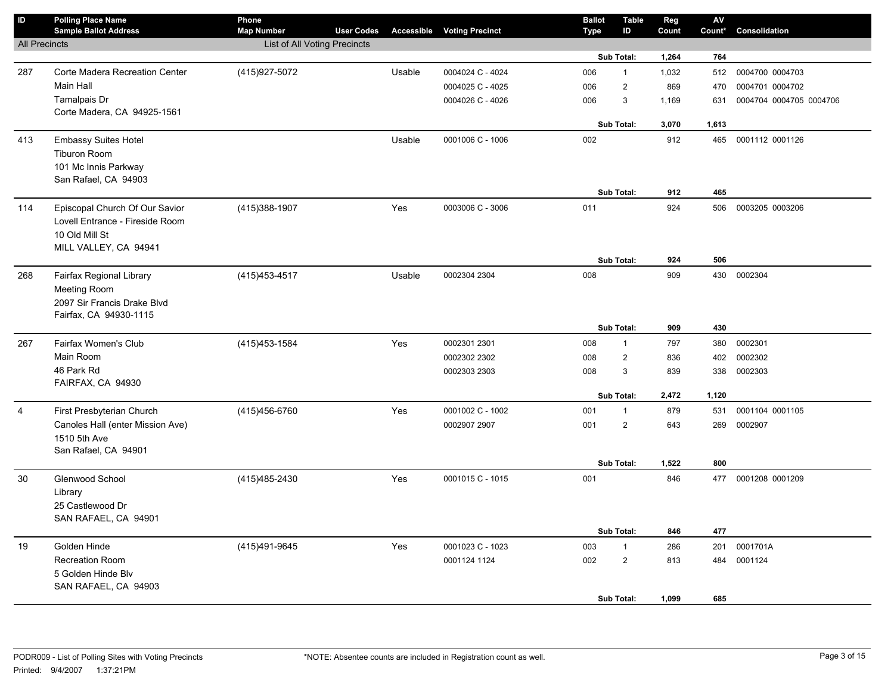| $\mathbf{D}$         | <b>Polling Place Name</b><br><b>Sample Ballot Address</b> | Phone<br><b>Map Number</b>          | <b>User Codes</b> | <b>Accessible</b> | <b>Voting Precinct</b> | <b>Ballot</b><br><b>Type</b> | <b>Table</b><br>ID | Reg<br>Count | AV<br>Count* | Consolidation           |
|----------------------|-----------------------------------------------------------|-------------------------------------|-------------------|-------------------|------------------------|------------------------------|--------------------|--------------|--------------|-------------------------|
| <b>All Precincts</b> |                                                           | <b>List of All Voting Precincts</b> |                   |                   |                        |                              |                    |              |              |                         |
|                      |                                                           |                                     |                   |                   |                        |                              | Sub Total:         | 1,264        | 764          |                         |
| 287                  | Corte Madera Recreation Center                            | (415) 927-5072                      |                   | Usable            | 0004024 C - 4024       | 006                          | $\mathbf{1}$       | 1,032        | 512          | 0004700 0004703         |
|                      | Main Hall                                                 |                                     |                   |                   | 0004025 C - 4025       | 006                          | $\overline{2}$     | 869          | 470          | 0004701 0004702         |
|                      | Tamalpais Dr                                              |                                     |                   |                   | 0004026 C - 4026       | 006                          | 3                  | 1,169        | 631          | 0004704 0004705 0004706 |
|                      | Corte Madera, CA 94925-1561                               |                                     |                   |                   |                        |                              | Sub Total:         | 3,070        | 1,613        |                         |
| 413                  | <b>Embassy Suites Hotel</b>                               |                                     |                   | Usable            | 0001006 C - 1006       | 002                          |                    | 912          | 465          | 0001112 0001126         |
|                      | Tiburon Room                                              |                                     |                   |                   |                        |                              |                    |              |              |                         |
|                      | 101 Mc Innis Parkway                                      |                                     |                   |                   |                        |                              |                    |              |              |                         |
|                      | San Rafael, CA 94903                                      |                                     |                   |                   |                        |                              |                    |              |              |                         |
|                      |                                                           |                                     |                   |                   |                        |                              | Sub Total:         | 912          | 465          |                         |
| 114                  | Episcopal Church Of Our Savior                            | (415) 388-1907                      |                   | Yes               | 0003006 C - 3006       | 011                          |                    | 924          | 506          | 0003205 0003206         |
|                      | Lovell Entrance - Fireside Room                           |                                     |                   |                   |                        |                              |                    |              |              |                         |
|                      | 10 Old Mill St                                            |                                     |                   |                   |                        |                              |                    |              |              |                         |
|                      | MILL VALLEY, CA 94941                                     |                                     |                   |                   |                        |                              | Sub Total:         | 924          | 506          |                         |
| 268                  | Fairfax Regional Library                                  | (415) 453-4517                      |                   | Usable            | 0002304 2304           | 008                          |                    | 909          | 430          | 0002304                 |
|                      | <b>Meeting Room</b>                                       |                                     |                   |                   |                        |                              |                    |              |              |                         |
|                      | 2097 Sir Francis Drake Blvd                               |                                     |                   |                   |                        |                              |                    |              |              |                         |
|                      | Fairfax, CA 94930-1115                                    |                                     |                   |                   |                        |                              |                    |              |              |                         |
|                      |                                                           |                                     |                   |                   |                        |                              | Sub Total:         | 909          | 430          |                         |
| 267                  | Fairfax Women's Club                                      | (415) 453-1584                      |                   | Yes               | 0002301 2301           | 008                          | $\mathbf{1}$       | 797          | 380          | 0002301                 |
|                      | Main Room                                                 |                                     |                   |                   | 0002302 2302           | 008                          | $\overline{2}$     | 836          | 402          | 0002302                 |
|                      | 46 Park Rd                                                |                                     |                   |                   | 0002303 2303           | 008                          | 3                  | 839          | 338          | 0002303                 |
|                      | FAIRFAX, CA 94930                                         |                                     |                   |                   |                        |                              | Sub Total:         | 2,472        | 1,120        |                         |
| $\overline{4}$       | First Presbyterian Church                                 | (415) 456-6760                      |                   | Yes               | 0001002 C - 1002       | 001                          | $\mathbf{1}$       | 879          | 531          | 0001104 0001105         |
|                      | Canoles Hall (enter Mission Ave)                          |                                     |                   |                   | 0002907 2907           | 001                          | $\overline{2}$     | 643          | 269          | 0002907                 |
|                      | 1510 5th Ave                                              |                                     |                   |                   |                        |                              |                    |              |              |                         |
|                      | San Rafael, CA 94901                                      |                                     |                   |                   |                        |                              |                    |              |              |                         |
|                      |                                                           |                                     |                   |                   |                        |                              | Sub Total:         | 1,522        | 800          |                         |
| 30                   | Glenwood School                                           | (415) 485-2430                      |                   | Yes               | 0001015 C - 1015       | 001                          |                    | 846          |              | 477 0001208 0001209     |
|                      | Library                                                   |                                     |                   |                   |                        |                              |                    |              |              |                         |
|                      | 25 Castlewood Dr                                          |                                     |                   |                   |                        |                              |                    |              |              |                         |
|                      | SAN RAFAEL, CA 94901                                      |                                     |                   |                   |                        |                              | Sub Total:         | 846          | 477          |                         |
| 19                   | Golden Hinde                                              | (415) 491-9645                      |                   | Yes               | 0001023 C - 1023       | 003                          | $\mathbf{1}$       | 286          | 201          | 0001701A                |
|                      | <b>Recreation Room</b>                                    |                                     |                   |                   | 0001124 1124           | 002                          | $\overline{2}$     | 813          | 484          | 0001124                 |
|                      | 5 Golden Hinde Blv                                        |                                     |                   |                   |                        |                              |                    |              |              |                         |
|                      | SAN RAFAEL, CA 94903                                      |                                     |                   |                   |                        |                              |                    |              |              |                         |
|                      |                                                           |                                     |                   |                   |                        |                              | Sub Total:         | 1,099        | 685          |                         |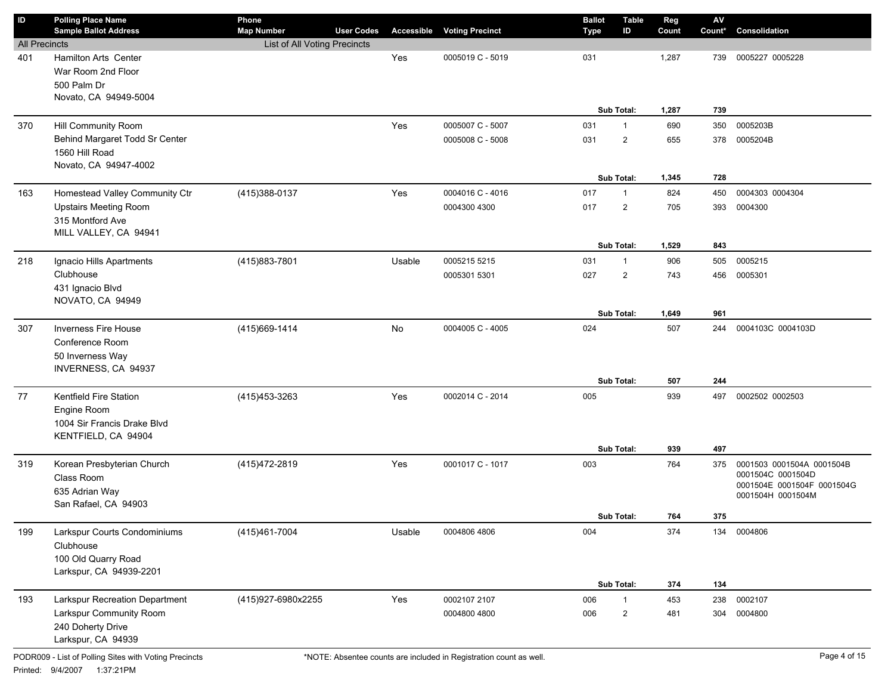| $\sf ID$             | <b>Polling Place Name</b><br><b>Sample Ballot Address</b>                                   | Phone<br><b>Map Number</b>          | <b>User Codes</b> | Accessible | <b>Voting Precinct</b> | <b>Ballot</b><br><b>Type</b> | Table<br>ID                  | Reg<br>Count   | $\mathsf{AV}$<br>Count* | Consolidation                                                                                     |
|----------------------|---------------------------------------------------------------------------------------------|-------------------------------------|-------------------|------------|------------------------|------------------------------|------------------------------|----------------|-------------------------|---------------------------------------------------------------------------------------------------|
| <b>All Precincts</b> |                                                                                             | <b>List of All Voting Precincts</b> |                   |            |                        |                              |                              |                |                         |                                                                                                   |
| 401                  | Hamilton Arts Center<br>War Room 2nd Floor<br>500 Palm Dr<br>Novato, CA 94949-5004          |                                     |                   | Yes        | 0005019 C - 5019       | 031                          | Sub Total:                   | 1,287<br>1,287 | 739<br>739              | 0005227 0005228                                                                                   |
| 370                  | Hill Community Room                                                                         |                                     |                   | Yes        | 0005007 C - 5007       | 031                          | $\mathbf{1}$                 | 690            | 350                     | 0005203B                                                                                          |
|                      | Behind Margaret Todd Sr Center<br>1560 Hill Road<br>Novato, CA 94947-4002                   |                                     |                   |            | 0005008 C - 5008       | 031                          | $\overline{2}$<br>Sub Total: | 655<br>1,345   | 378<br>728              | 0005204B                                                                                          |
| 163                  | Homestead Valley Community Ctr                                                              | (415) 388-0137                      |                   | Yes        | 0004016 C - 4016       | 017                          | $\mathbf{1}$                 | 824            | 450                     | 0004303 0004304                                                                                   |
|                      | <b>Upstairs Meeting Room</b><br>315 Montford Ave<br>MILL VALLEY, CA 94941                   |                                     |                   |            | 0004300 4300           | 017                          | $\overline{2}$               | 705            | 393                     | 0004300                                                                                           |
|                      |                                                                                             |                                     |                   |            |                        |                              | Sub Total:                   | 1,529          | 843                     |                                                                                                   |
| 218                  | Ignacio Hills Apartments                                                                    | (415) 883-7801                      |                   | Usable     | 0005215 5215           | 031                          | $\mathbf{1}$                 | 906            | 505                     | 0005215                                                                                           |
|                      | Clubhouse<br>431 Ignacio Blvd<br>NOVATO, CA 94949                                           |                                     |                   |            | 0005301 5301           | 027                          | $\overline{2}$               | 743            | 456                     | 0005301                                                                                           |
|                      |                                                                                             |                                     |                   |            |                        |                              | <b>Sub Total:</b>            | 1,649          | 961                     |                                                                                                   |
| 307                  | <b>Inverness Fire House</b><br>Conference Room<br>50 Inverness Way<br>INVERNESS, CA 94937   | (415) 669-1414                      |                   | No         | 0004005 C - 4005       | 024                          |                              | 507            | 244                     | 0004103C 0004103D                                                                                 |
|                      |                                                                                             |                                     |                   |            |                        |                              | Sub Total:                   | 507            | 244                     |                                                                                                   |
| 77                   | Kentfield Fire Station<br>Engine Room<br>1004 Sir Francis Drake Blvd<br>KENTFIELD, CA 94904 | (415) 453-3263                      |                   | Yes        | 0002014 C - 2014       | 005                          |                              | 939            | 497                     | 0002502 0002503                                                                                   |
|                      |                                                                                             |                                     |                   |            |                        |                              | Sub Total:                   | 939            | 497                     |                                                                                                   |
| 319                  | Korean Presbyterian Church<br>Class Room<br>635 Adrian Way<br>San Rafael, CA 94903          | (415) 472-2819                      |                   | Yes        | 0001017 C - 1017       | 003                          |                              | 764            | 375                     | 0001503 0001504A 0001504B<br>0001504C 0001504D<br>0001504E 0001504F 0001504G<br>0001504H 0001504M |
|                      |                                                                                             |                                     |                   |            |                        |                              | Sub Total:                   | 764            | 375                     |                                                                                                   |
| 199                  | Larkspur Courts Condominiums<br>Clubhouse<br>100 Old Quarry Road<br>Larkspur, CA 94939-2201 | (415)461-7004                       |                   | Usable     | 0004806 4806           | 004                          |                              | 374            | 134                     | 0004806                                                                                           |
|                      |                                                                                             |                                     |                   |            |                        |                              | Sub Total:                   | 374            | 134                     |                                                                                                   |
| 193                  | Larkspur Recreation Department                                                              | (415)927-6980x2255                  |                   | Yes        | 0002107 2107           | 006                          | $\mathbf{1}$                 | 453            | 238                     | 0002107                                                                                           |
|                      | Larkspur Community Room<br>240 Doherty Drive<br>Larkspur, CA 94939                          |                                     |                   |            | 0004800 4800           | 006                          | $\overline{2}$               | 481            | 304                     | 0004800                                                                                           |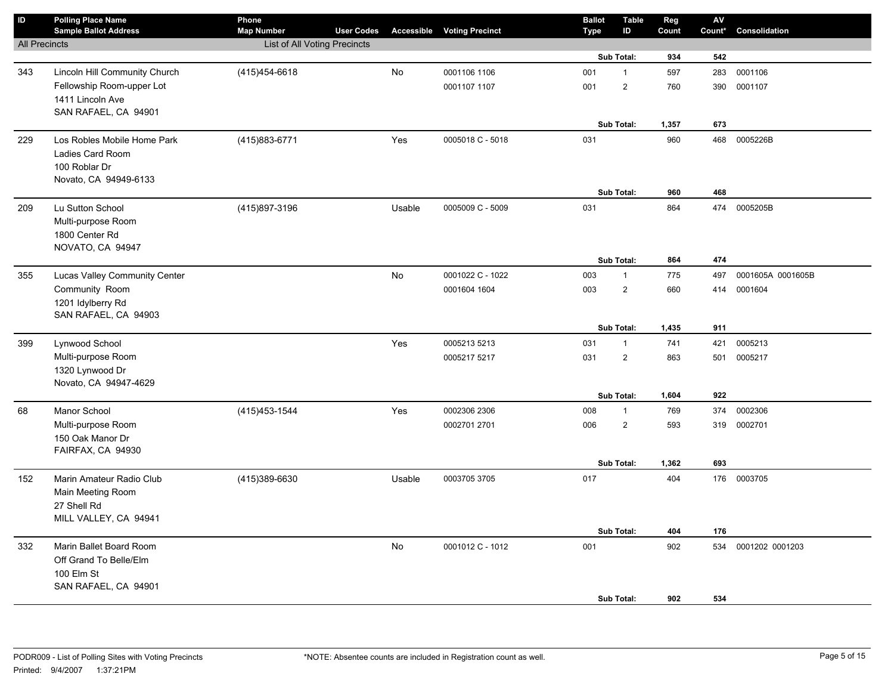| $\sf ID$             | <b>Polling Place Name</b><br><b>Sample Ballot Address</b> | Phone<br><b>Map Number</b>   | <b>User Codes</b> | Accessible | <b>Voting Precinct</b> | <b>Ballot</b><br><b>Type</b> | <b>Table</b><br>ID | Reg<br>Count | AV<br>Count* | Consolidation     |
|----------------------|-----------------------------------------------------------|------------------------------|-------------------|------------|------------------------|------------------------------|--------------------|--------------|--------------|-------------------|
| <b>All Precincts</b> |                                                           | List of All Voting Precincts |                   |            |                        |                              |                    |              |              |                   |
|                      |                                                           |                              |                   |            |                        |                              | Sub Total:         | 934          | 542          |                   |
| 343                  | Lincoln Hill Community Church                             | (415) 454-6618               |                   | No         | 0001106 1106           | 001                          | $\mathbf{1}$       | 597          | 283          | 0001106           |
|                      | Fellowship Room-upper Lot                                 |                              |                   |            | 0001107 1107           | 001                          | $\sqrt{2}$         | 760          | 390          | 0001107           |
|                      | 1411 Lincoln Ave                                          |                              |                   |            |                        |                              |                    |              |              |                   |
|                      | SAN RAFAEL, CA 94901                                      |                              |                   |            |                        |                              | Sub Total:         |              | 673          |                   |
|                      |                                                           |                              |                   |            |                        |                              |                    | 1,357        |              |                   |
| 229                  | Los Robles Mobile Home Park<br>Ladies Card Room           | (415) 883-6771               |                   | Yes        | 0005018 C - 5018       | 031                          |                    | 960          | 468          | 0005226B          |
|                      | 100 Roblar Dr                                             |                              |                   |            |                        |                              |                    |              |              |                   |
|                      | Novato, CA 94949-6133                                     |                              |                   |            |                        |                              |                    |              |              |                   |
|                      |                                                           |                              |                   |            |                        |                              | Sub Total:         | 960          | 468          |                   |
| 209                  | Lu Sutton School                                          | (415)897-3196                |                   | Usable     | 0005009 C - 5009       | 031                          |                    | 864          |              | 474 0005205B      |
|                      | Multi-purpose Room                                        |                              |                   |            |                        |                              |                    |              |              |                   |
|                      | 1800 Center Rd                                            |                              |                   |            |                        |                              |                    |              |              |                   |
|                      | NOVATO, CA 94947                                          |                              |                   |            |                        |                              |                    |              |              |                   |
|                      |                                                           |                              |                   |            |                        |                              | Sub Total:         | 864          | 474          |                   |
| 355                  | Lucas Valley Community Center                             |                              |                   | No         | 0001022 C - 1022       | 003                          | $\mathbf{1}$       | 775          | 497          | 0001605A 0001605B |
|                      | Community Room                                            |                              |                   |            | 0001604 1604           | 003                          | $\overline{2}$     | 660          |              | 414 0001604       |
|                      | 1201 Idylberry Rd                                         |                              |                   |            |                        |                              |                    |              |              |                   |
|                      | SAN RAFAEL, CA 94903                                      |                              |                   |            |                        |                              | Sub Total:         | 1,435        | 911          |                   |
| 399                  | Lynwood School                                            |                              |                   | Yes        | 0005213 5213           | 031                          | $\mathbf{1}$       | 741          | 421          | 0005213           |
|                      | Multi-purpose Room                                        |                              |                   |            | 0005217 5217           | 031                          | $\overline{2}$     | 863          | 501          | 0005217           |
|                      | 1320 Lynwood Dr                                           |                              |                   |            |                        |                              |                    |              |              |                   |
|                      | Novato, CA 94947-4629                                     |                              |                   |            |                        |                              |                    |              |              |                   |
|                      |                                                           |                              |                   |            |                        |                              | Sub Total:         | 1,604        | 922          |                   |
| 68                   | Manor School                                              | (415) 453-1544               |                   | Yes        | 0002306 2306           | 008                          | $\mathbf{1}$       | 769          | 374          | 0002306           |
|                      | Multi-purpose Room                                        |                              |                   |            | 0002701 2701           | 006                          | $\overline{2}$     | 593          | 319          | 0002701           |
|                      | 150 Oak Manor Dr                                          |                              |                   |            |                        |                              |                    |              |              |                   |
|                      | FAIRFAX, CA 94930                                         |                              |                   |            |                        |                              |                    |              |              |                   |
|                      |                                                           |                              |                   |            |                        |                              | Sub Total:         | 1,362        | 693          |                   |
| 152                  | Marin Amateur Radio Club                                  | (415)389-6630                |                   | Usable     | 0003705 3705           | 017                          |                    | 404          |              | 176 0003705       |
|                      | Main Meeting Room<br>27 Shell Rd                          |                              |                   |            |                        |                              |                    |              |              |                   |
|                      | MILL VALLEY, CA 94941                                     |                              |                   |            |                        |                              |                    |              |              |                   |
|                      |                                                           |                              |                   |            |                        |                              | Sub Total:         | 404          | 176          |                   |
| 332                  | Marin Ballet Board Room                                   |                              |                   | <b>No</b>  | 0001012 C - 1012       | 001                          |                    | 902          | 534          | 0001202 0001203   |
|                      | Off Grand To Belle/Elm                                    |                              |                   |            |                        |                              |                    |              |              |                   |
|                      | 100 Elm St                                                |                              |                   |            |                        |                              |                    |              |              |                   |
|                      | SAN RAFAEL, CA 94901                                      |                              |                   |            |                        |                              |                    |              |              |                   |
|                      |                                                           |                              |                   |            |                        |                              | Sub Total:         | 902          | 534          |                   |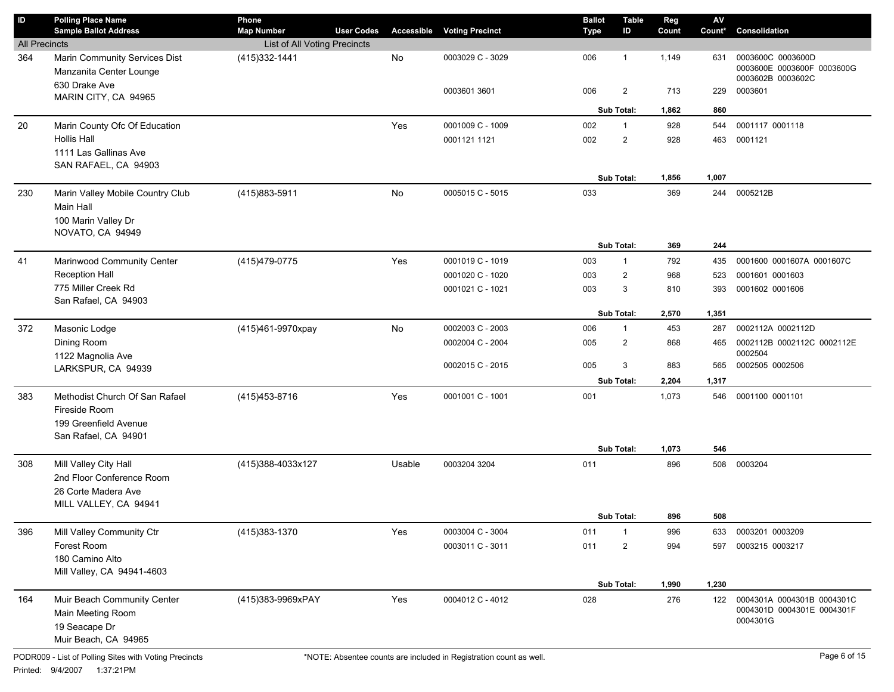| ID                   | <b>Polling Place Name</b><br><b>Sample Ballot Address</b>                                 | Phone<br><b>Map Number</b>   | <b>User Codes</b> |        | <b>Accessible Voting Precinct</b> | <b>Ballot</b><br>Type | <b>Table</b><br>ID      | Reg<br>Count | AV<br>Count* | Consolidation                                                        |
|----------------------|-------------------------------------------------------------------------------------------|------------------------------|-------------------|--------|-----------------------------------|-----------------------|-------------------------|--------------|--------------|----------------------------------------------------------------------|
| <b>All Precincts</b> |                                                                                           | List of All Voting Precincts |                   |        |                                   |                       |                         |              |              |                                                                      |
| 364                  | Marin Community Services Dist<br>Manzanita Center Lounge                                  | (415) 332-1441               |                   | No     | 0003029 C - 3029                  | 006                   | $\overline{1}$          | 1,149        | 631          | 0003600C 0003600D<br>0003600E 0003600F 0003600G<br>0003602B 0003602C |
|                      | 630 Drake Ave<br>MARIN CITY, CA 94965                                                     |                              |                   |        | 0003601 3601                      | 006                   | $\overline{\mathbf{c}}$ | 713          | 229          | 0003601                                                              |
|                      |                                                                                           |                              |                   |        |                                   |                       | <b>Sub Total:</b>       | 1,862        | 860          |                                                                      |
| 20                   | Marin County Ofc Of Education                                                             |                              |                   | Yes    | 0001009 C - 1009                  | 002                   | $\overline{1}$          | 928          | 544          | 0001117 0001118                                                      |
|                      | <b>Hollis Hall</b>                                                                        |                              |                   |        | 0001121 1121                      | 002                   | $\mathbf{2}$            | 928          | 463          | 0001121                                                              |
|                      | 1111 Las Gallinas Ave                                                                     |                              |                   |        |                                   |                       |                         |              |              |                                                                      |
|                      | SAN RAFAEL, CA 94903                                                                      |                              |                   |        |                                   |                       |                         |              |              |                                                                      |
|                      |                                                                                           |                              |                   |        |                                   |                       | Sub Total:              | 1,856        | 1,007        |                                                                      |
| 230                  | Marin Valley Mobile Country Club                                                          | (415) 883-5911               |                   | No     | 0005015 C - 5015                  | 033                   |                         | 369          | 244          | 0005212B                                                             |
|                      | Main Hall                                                                                 |                              |                   |        |                                   |                       |                         |              |              |                                                                      |
|                      | 100 Marin Valley Dr<br>NOVATO, CA 94949                                                   |                              |                   |        |                                   |                       |                         |              |              |                                                                      |
|                      |                                                                                           |                              |                   |        |                                   |                       | Sub Total:              | 369          | 244          |                                                                      |
| 41                   | Marinwood Community Center                                                                | (415) 479-0775               |                   | Yes    | 0001019 C - 1019                  | 003                   | $\mathbf{1}$            | 792          | 435          | 0001600 0001607A 0001607C                                            |
|                      | <b>Reception Hall</b>                                                                     |                              |                   |        | 0001020 C - 1020                  | 003                   | $\overline{\mathbf{c}}$ | 968          | 523          | 0001601 0001603                                                      |
|                      | 775 Miller Creek Rd                                                                       |                              |                   |        | 0001021 C - 1021                  | 003                   | 3                       | 810          | 393          | 0001602 0001606                                                      |
|                      | San Rafael, CA 94903                                                                      |                              |                   |        |                                   |                       |                         |              |              |                                                                      |
|                      |                                                                                           |                              |                   |        |                                   |                       | <b>Sub Total:</b>       | 2,570        | 1,351        |                                                                      |
| 372                  | Masonic Lodge                                                                             | (415)461-9970xpay            |                   | No     | 0002003 C - 2003                  | 006                   | $\mathbf{1}$            | 453          | 287          | 0002112A 0002112D                                                    |
|                      | Dining Room<br>1122 Magnolia Ave                                                          |                              |                   |        | 0002004 C - 2004                  | 005                   | $\overline{2}$          | 868          | 465          | 0002112B 0002112C 0002112E<br>0002504                                |
|                      | LARKSPUR, CA 94939                                                                        |                              |                   |        | 0002015 C - 2015                  | 005                   | 3                       | 883          | 565          | 0002505 0002506                                                      |
|                      |                                                                                           |                              |                   |        |                                   |                       | <b>Sub Total:</b>       | 2,204        | 1,317        |                                                                      |
| 383                  | Methodist Church Of San Rafael<br>Fireside Room<br>199 Greenfield Avenue                  | (415) 453-8716               |                   | Yes    | 0001001 C - 1001                  | 001                   |                         | 1,073        | 546          | 0001100 0001101                                                      |
|                      | San Rafael, CA 94901                                                                      |                              |                   |        |                                   |                       |                         |              |              |                                                                      |
|                      |                                                                                           |                              |                   |        |                                   |                       | Sub Total:              | 1,073        | 546          |                                                                      |
| 308                  | Mill Valley City Hall                                                                     | (415)388-4033x127            |                   | Usable | 0003204 3204                      | 011                   |                         | 896          | 508          | 0003204                                                              |
|                      | 2nd Floor Conference Room<br>26 Corte Madera Ave                                          |                              |                   |        |                                   |                       |                         |              |              |                                                                      |
|                      | MILL VALLEY, CA 94941                                                                     |                              |                   |        |                                   |                       |                         |              |              |                                                                      |
|                      |                                                                                           |                              |                   |        |                                   |                       | <b>Sub Total:</b>       | 896          | 508          |                                                                      |
| 396                  | Mill Valley Community Ctr                                                                 | (415) 383-1370               |                   | Yes    | 0003004 C - 3004                  | 011                   | $\mathbf{1}$            | 996          | 633          | 0003201 0003209                                                      |
|                      | Forest Room                                                                               |                              |                   |        | 0003011 C - 3011                  | 011                   | $\overline{\mathbf{c}}$ | 994          | 597          | 0003215 0003217                                                      |
|                      | 180 Camino Alto                                                                           |                              |                   |        |                                   |                       |                         |              |              |                                                                      |
|                      | Mill Valley, CA 94941-4603                                                                |                              |                   |        |                                   |                       |                         |              |              |                                                                      |
|                      |                                                                                           |                              |                   |        |                                   |                       | Sub Total:              | 1,990        | 1,230        |                                                                      |
| 164                  | Muir Beach Community Center<br>Main Meeting Room<br>19 Seacape Dr<br>Muir Beach, CA 94965 | (415)383-9969xPAY            |                   | Yes    | 0004012 C - 4012                  | 028                   |                         | 276          | 122          | 0004301A 0004301B 0004301C<br>0004301D 0004301E 0004301F<br>0004301G |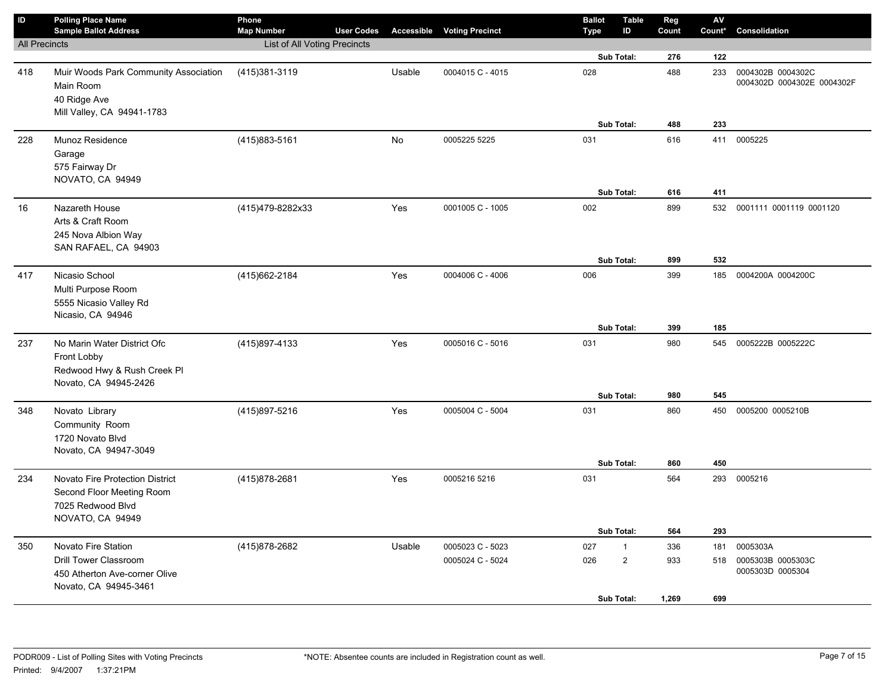| $\sf ID$             | <b>Polling Place Name</b><br><b>Sample Ballot Address</b>                                             | Phone<br><b>Map Number</b>   | <b>User Codes</b> | Accessible | <b>Voting Precinct</b> | <b>Ballot</b><br>Type | <b>Table</b><br>ID | Reg<br>Count | ${\sf AV}$<br>Count* | Consolidation                                   |
|----------------------|-------------------------------------------------------------------------------------------------------|------------------------------|-------------------|------------|------------------------|-----------------------|--------------------|--------------|----------------------|-------------------------------------------------|
| <b>All Precincts</b> |                                                                                                       | List of All Voting Precincts |                   |            |                        |                       |                    |              |                      |                                                 |
|                      |                                                                                                       |                              |                   |            |                        |                       | Sub Total:         | 276          | 122                  |                                                 |
| 418                  | Muir Woods Park Community Association<br>Main Room<br>40 Ridge Ave                                    | (415)381-3119                |                   | Usable     | 0004015 C - 4015       | 028                   |                    | 488          | 233                  | 0004302B 0004302C<br>0004302D 0004302E 0004302F |
|                      | Mill Valley, CA 94941-1783                                                                            |                              |                   |            |                        |                       |                    |              |                      |                                                 |
|                      |                                                                                                       |                              |                   |            |                        |                       | Sub Total:         | 488          | 233                  |                                                 |
| 228                  | Munoz Residence<br>Garage<br>575 Fairway Dr                                                           | (415) 883-5161               |                   | No         | 0005225 5225           | 031                   |                    | 616          | 411                  | 0005225                                         |
|                      | NOVATO, CA 94949                                                                                      |                              |                   |            |                        |                       |                    |              |                      |                                                 |
|                      |                                                                                                       |                              |                   |            |                        |                       | Sub Total:         | 616          | 411                  |                                                 |
| 16                   | Nazareth House<br>Arts & Craft Room<br>245 Nova Albion Way<br>SAN RAFAEL, CA 94903                    | (415)479-8282x33             |                   | Yes        | 0001005 C - 1005       | 002                   |                    | 899          | 532                  | 0001111 0001119 0001120                         |
|                      |                                                                                                       |                              |                   |            |                        |                       | Sub Total:         | 899          | 532                  |                                                 |
| 417                  | Nicasio School<br>Multi Purpose Room<br>5555 Nicasio Valley Rd<br>Nicasio, CA 94946                   | (415) 662-2184               |                   | Yes        | 0004006 C - 4006       | 006                   |                    | 399          | 185                  | 0004200A 0004200C                               |
|                      |                                                                                                       |                              |                   |            |                        |                       | Sub Total:         | 399          | 185                  |                                                 |
| 237                  | No Marin Water District Ofc<br>Front Lobby<br>Redwood Hwy & Rush Creek Pl<br>Novato, CA 94945-2426    | (415)897-4133                |                   | Yes        | 0005016 C - 5016       | 031                   |                    | 980          | 545                  | 0005222B 0005222C                               |
|                      |                                                                                                       |                              |                   |            |                        |                       | Sub Total:         | 980          | 545                  |                                                 |
| 348                  | Novato Library<br>Community Room<br>1720 Novato Blvd<br>Novato, CA 94947-3049                         | (415)897-5216                |                   | Yes        | 0005004 C - 5004       | 031                   |                    | 860          | 450                  | 0005200 0005210B                                |
|                      |                                                                                                       |                              |                   |            |                        |                       | Sub Total:         | 860          | 450                  |                                                 |
| 234                  | Novato Fire Protection District<br>Second Floor Meeting Room<br>7025 Redwood Blvd<br>NOVATO, CA 94949 | (415) 878-2681               |                   | Yes        | 0005216 5216           | 031                   |                    | 564          |                      | 293 0005216                                     |
|                      |                                                                                                       |                              |                   |            |                        |                       | Sub Total:         | 564          | 293                  |                                                 |
| 350                  | Novato Fire Station                                                                                   | (415) 878-2682               |                   | Usable     | 0005023 C - 5023       | 027                   | $\mathbf{1}$       | 336          | 181                  | 0005303A                                        |
|                      | <b>Drill Tower Classroom</b><br>450 Atherton Ave-corner Olive<br>Novato, CA 94945-3461                |                              |                   |            | 0005024 C - 5024       | 026                   | $\overline{2}$     | 933          | 518                  | 0005303B 0005303C<br>0005303D 0005304           |
|                      |                                                                                                       |                              |                   |            |                        |                       | Sub Total:         | 1,269        | 699                  |                                                 |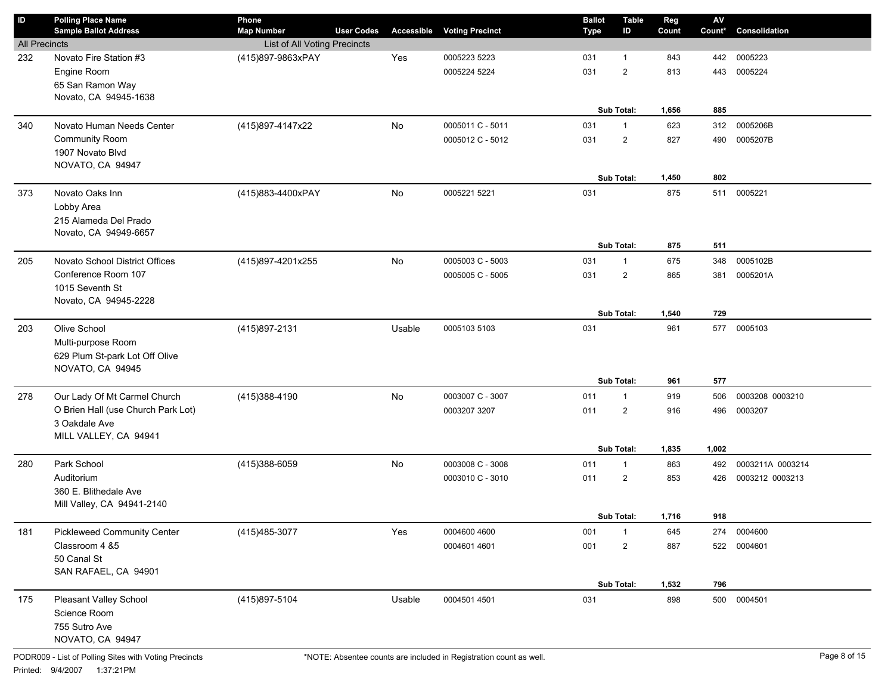| $\sf ID$             | <b>Polling Place Name</b><br><b>Sample Ballot Address</b> | Phone<br><b>Map Number</b>   | <b>User Codes</b> | Accessible | <b>Voting Precinct</b> | <b>Ballot</b><br><b>Type</b> | <b>Table</b><br>ID | Reg<br>Count | $\mathsf{AV}$<br>Count* | Consolidation    |
|----------------------|-----------------------------------------------------------|------------------------------|-------------------|------------|------------------------|------------------------------|--------------------|--------------|-------------------------|------------------|
| <b>All Precincts</b> |                                                           | List of All Voting Precincts |                   |            |                        |                              |                    |              |                         |                  |
| 232                  | Novato Fire Station #3                                    | (415)897-9863xPAY            |                   | Yes        | 0005223 5223           | 031                          | $\overline{1}$     | 843          | 442                     | 0005223          |
|                      | Engine Room                                               |                              |                   |            | 0005224 5224           | 031                          | $\overline{2}$     | 813          | 443                     | 0005224          |
|                      | 65 San Ramon Way                                          |                              |                   |            |                        |                              |                    |              |                         |                  |
|                      | Novato, CA 94945-1638                                     |                              |                   |            |                        |                              |                    |              |                         |                  |
|                      |                                                           |                              |                   |            |                        |                              | Sub Total:         | 1,656        | 885                     |                  |
| 340                  | Novato Human Needs Center                                 | (415)897-4147x22             |                   | <b>No</b>  | 0005011 C - 5011       | 031                          | $\overline{1}$     | 623          | 312                     | 0005206B         |
|                      | <b>Community Room</b>                                     |                              |                   |            | 0005012 C - 5012       | 031                          | $\overline{2}$     | 827          | 490                     | 0005207B         |
|                      | 1907 Novato Blvd                                          |                              |                   |            |                        |                              |                    |              |                         |                  |
|                      | NOVATO, CA 94947                                          |                              |                   |            |                        |                              |                    |              |                         |                  |
|                      |                                                           |                              |                   |            |                        |                              | Sub Total:         | 1,450        | 802                     |                  |
| 373                  | Novato Oaks Inn                                           | (415)883-4400xPAY            |                   | <b>No</b>  | 0005221 5221           | 031                          |                    | 875          | 511                     | 0005221          |
|                      | Lobby Area                                                |                              |                   |            |                        |                              |                    |              |                         |                  |
|                      | 215 Alameda Del Prado                                     |                              |                   |            |                        |                              |                    |              |                         |                  |
|                      | Novato, CA 94949-6657                                     |                              |                   |            |                        |                              | Sub Total:         | 875          | 511                     |                  |
| 205                  | Novato School District Offices                            | (415)897-4201x255            |                   | <b>No</b>  | 0005003 C - 5003       | 031                          | $\overline{1}$     | 675          | 348                     | 0005102B         |
|                      | Conference Room 107                                       |                              |                   |            | 0005005 C - 5005       | 031                          | $\overline{2}$     | 865          | 381                     | 0005201A         |
|                      | 1015 Seventh St                                           |                              |                   |            |                        |                              |                    |              |                         |                  |
|                      | Novato, CA 94945-2228                                     |                              |                   |            |                        |                              |                    |              |                         |                  |
|                      |                                                           |                              |                   |            |                        |                              | Sub Total:         | 1,540        | 729                     |                  |
| 203                  | Olive School                                              | (415) 897-2131               |                   | Usable     | 0005103 5103           | 031                          |                    | 961          | 577                     | 0005103          |
|                      | Multi-purpose Room                                        |                              |                   |            |                        |                              |                    |              |                         |                  |
|                      | 629 Plum St-park Lot Off Olive                            |                              |                   |            |                        |                              |                    |              |                         |                  |
|                      | NOVATO, CA 94945                                          |                              |                   |            |                        |                              |                    |              |                         |                  |
|                      |                                                           |                              |                   |            |                        |                              | Sub Total:         | 961          | 577                     |                  |
| 278                  | Our Lady Of Mt Carmel Church                              | (415)388-4190                |                   | <b>No</b>  | 0003007 C - 3007       | 011                          | $\overline{1}$     | 919          | 506                     | 0003208 0003210  |
|                      | O Brien Hall (use Church Park Lot)                        |                              |                   |            | 0003207 3207           | 011                          | $\overline{2}$     | 916          | 496                     | 0003207          |
|                      | 3 Oakdale Ave                                             |                              |                   |            |                        |                              |                    |              |                         |                  |
|                      | MILL VALLEY, CA 94941                                     |                              |                   |            |                        |                              |                    |              |                         |                  |
|                      |                                                           |                              |                   |            |                        |                              | Sub Total:         | 1,835        | 1,002                   |                  |
| 280                  | Park School                                               | (415)388-6059                |                   | <b>No</b>  | 0003008 C - 3008       | 011                          | $\overline{1}$     | 863          | 492                     | 0003211A 0003214 |
|                      | Auditorium                                                |                              |                   |            | 0003010 C - 3010       | 011                          | $\overline{2}$     | 853          | 426                     | 0003212 0003213  |
|                      | 360 E. Blithedale Ave                                     |                              |                   |            |                        |                              |                    |              |                         |                  |
|                      | Mill Valley, CA 94941-2140                                |                              |                   |            |                        |                              | Sub Total:         | 1,716        | 918                     |                  |
| 181                  | <b>Pickleweed Community Center</b>                        | (415) 485-3077               |                   | Yes        | 0004600 4600           | 001                          | $\overline{1}$     | 645          | 274                     | 0004600          |
|                      | Classroom 4 &5                                            |                              |                   |            | 0004601 4601           |                              |                    |              | 522                     | 0004601          |
|                      | 50 Canal St                                               |                              |                   |            |                        | 001                          | $\overline{2}$     | 887          |                         |                  |
|                      | SAN RAFAEL, CA 94901                                      |                              |                   |            |                        |                              |                    |              |                         |                  |
|                      |                                                           |                              |                   |            |                        |                              | Sub Total:         | 1,532        | 796                     |                  |
| 175                  | Pleasant Valley School                                    | (415)897-5104                |                   | Usable     | 0004501 4501           | 031                          |                    | 898          | 500                     | 0004501          |
|                      | Science Room                                              |                              |                   |            |                        |                              |                    |              |                         |                  |
|                      | 755 Sutro Ave                                             |                              |                   |            |                        |                              |                    |              |                         |                  |
|                      | NOVATO, CA 94947                                          |                              |                   |            |                        |                              |                    |              |                         |                  |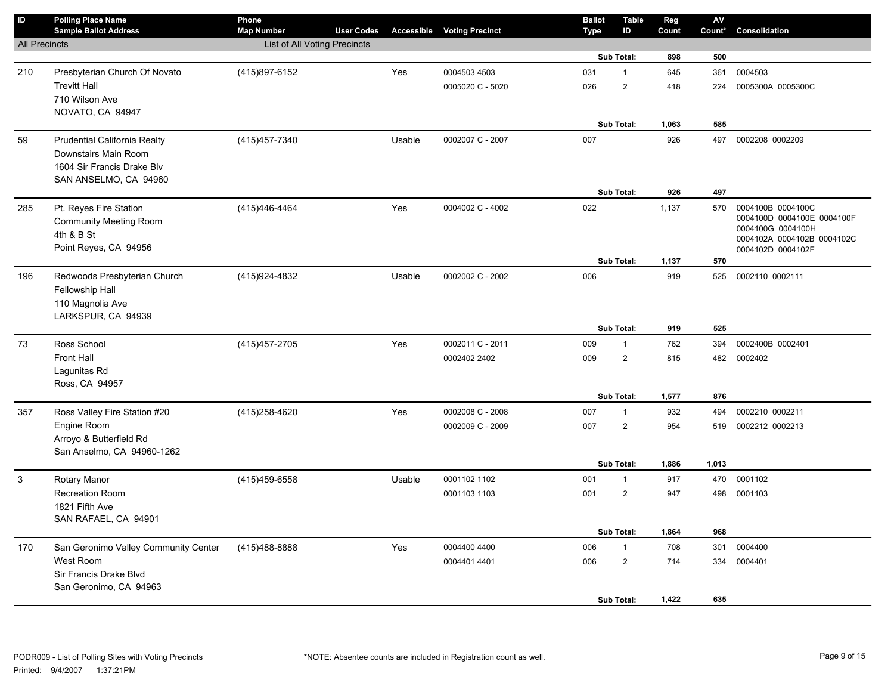| ID                   | <b>Polling Place Name</b><br><b>Sample Ballot Address</b> | Phone<br><b>Map Number</b>   | <b>User Codes</b> | Accessible | <b>Voting Precinct</b> | <b>Ballot</b><br><b>Type</b> | <b>Table</b><br>ID | Reg<br>Count | ${\sf AV}$<br>Count* | Consolidation                                   |
|----------------------|-----------------------------------------------------------|------------------------------|-------------------|------------|------------------------|------------------------------|--------------------|--------------|----------------------|-------------------------------------------------|
| <b>All Precincts</b> |                                                           | List of All Voting Precincts |                   |            |                        |                              |                    |              |                      |                                                 |
|                      |                                                           |                              |                   |            |                        |                              | Sub Total:         | 898          | 500                  |                                                 |
| 210                  | Presbyterian Church Of Novato                             | (415)897-6152                |                   | Yes        | 0004503 4503           | 031                          | $\mathbf{1}$       | 645          | 361                  | 0004503                                         |
|                      | <b>Trevitt Hall</b>                                       |                              |                   |            | 0005020 C - 5020       | 026                          | 2                  | 418          | 224                  | 0005300A 0005300C                               |
|                      | 710 Wilson Ave                                            |                              |                   |            |                        |                              |                    |              |                      |                                                 |
|                      | NOVATO, CA 94947                                          |                              |                   |            |                        |                              |                    |              |                      |                                                 |
|                      |                                                           |                              |                   |            |                        |                              | Sub Total:         | 1,063        | 585                  |                                                 |
| 59                   | Prudential California Realty                              | (415) 457-7340               |                   | Usable     | 0002007 C - 2007       | 007                          |                    | 926          | 497                  | 0002208 0002209                                 |
|                      | Downstairs Main Room<br>1604 Sir Francis Drake Blv        |                              |                   |            |                        |                              |                    |              |                      |                                                 |
|                      | SAN ANSELMO, CA 94960                                     |                              |                   |            |                        |                              |                    |              |                      |                                                 |
|                      |                                                           |                              |                   |            |                        |                              | Sub Total:         | 926          | 497                  |                                                 |
| 285                  | Pt. Reyes Fire Station                                    | (415)446-4464                |                   | Yes        | 0004002 C - 4002       | 022                          |                    | 1,137        | 570                  | 0004100B 0004100C                               |
|                      | <b>Community Meeting Room</b>                             |                              |                   |            |                        |                              |                    |              |                      | 0004100D 0004100E 0004100F                      |
|                      | 4th & B St                                                |                              |                   |            |                        |                              |                    |              |                      | 0004100G 0004100H<br>0004102A 0004102B 0004102C |
|                      | Point Reyes, CA 94956                                     |                              |                   |            |                        |                              |                    |              |                      | 0004102D 0004102F                               |
|                      |                                                           |                              |                   |            |                        |                              | Sub Total:         | 1,137        | 570                  |                                                 |
| 196                  | Redwoods Presbyterian Church                              | (415) 924-4832               |                   | Usable     | 0002002 C - 2002       | 006                          |                    | 919          | 525                  | 0002110 0002111                                 |
|                      | Fellowship Hall                                           |                              |                   |            |                        |                              |                    |              |                      |                                                 |
|                      | 110 Magnolia Ave<br>LARKSPUR, CA 94939                    |                              |                   |            |                        |                              |                    |              |                      |                                                 |
|                      |                                                           |                              |                   |            |                        |                              | Sub Total:         | 919          | 525                  |                                                 |
| 73                   | Ross School                                               | (415) 457-2705               |                   | Yes        | 0002011 C - 2011       | 009                          | $\mathbf{1}$       | 762          | 394                  | 0002400B 0002401                                |
|                      | <b>Front Hall</b>                                         |                              |                   |            | 0002402 2402           | 009                          | $\overline{2}$     | 815          | 482                  | 0002402                                         |
|                      | Lagunitas Rd                                              |                              |                   |            |                        |                              |                    |              |                      |                                                 |
|                      | Ross, CA 94957                                            |                              |                   |            |                        |                              |                    |              |                      |                                                 |
|                      |                                                           |                              |                   |            |                        |                              | Sub Total:         | 1,577        | 876                  |                                                 |
| 357                  | Ross Valley Fire Station #20                              | (415) 258-4620               |                   | Yes        | 0002008 C - 2008       | 007                          | $\mathbf{1}$       | 932          | 494                  | 0002210 0002211                                 |
|                      | Engine Room                                               |                              |                   |            | 0002009 C - 2009       | 007                          | $\overline{2}$     | 954          | 519                  | 0002212 0002213                                 |
|                      | Arroyo & Butterfield Rd<br>San Anselmo, CA 94960-1262     |                              |                   |            |                        |                              |                    |              |                      |                                                 |
|                      |                                                           |                              |                   |            |                        |                              | <b>Sub Total:</b>  | 1,886        | 1,013                |                                                 |
| 3                    | Rotary Manor                                              | (415) 459-6558               |                   | Usable     | 0001102 1102           | 001                          | $\mathbf{1}$       | 917          | 470                  | 0001102                                         |
|                      | <b>Recreation Room</b>                                    |                              |                   |            | 0001103 1103           | 001                          | $\overline{2}$     | 947          | 498                  | 0001103                                         |
|                      | 1821 Fifth Ave                                            |                              |                   |            |                        |                              |                    |              |                      |                                                 |
|                      | SAN RAFAEL, CA 94901                                      |                              |                   |            |                        |                              |                    |              |                      |                                                 |
|                      |                                                           |                              |                   |            |                        |                              | Sub Total:         | 1,864        | 968                  |                                                 |
| 170                  | San Geronimo Valley Community Center                      | (415) 488-8888               |                   | Yes        | 0004400 4400           | 006                          | $\mathbf{1}$       | 708          | 301                  | 0004400                                         |
|                      | West Room                                                 |                              |                   |            | 0004401 4401           | 006                          | $\overline{2}$     | 714          | 334                  | 0004401                                         |
|                      | Sir Francis Drake Blvd<br>San Geronimo, CA 94963          |                              |                   |            |                        |                              |                    |              |                      |                                                 |
|                      |                                                           |                              |                   |            |                        |                              | Sub Total:         | 1,422        | 635                  |                                                 |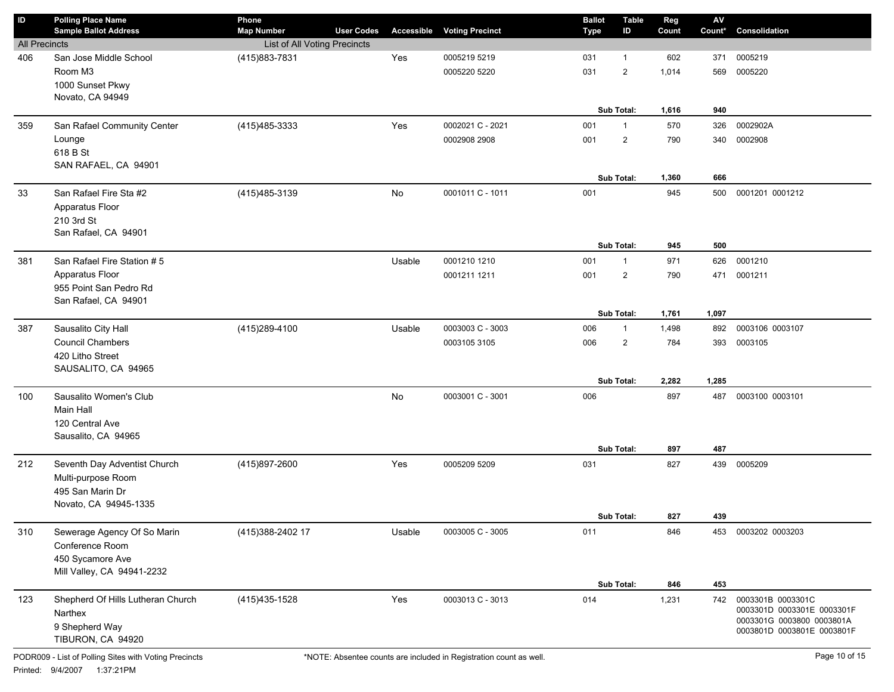| $\sf ID$             | <b>Polling Place Name</b><br><b>Sample Ballot Address</b> | Phone<br><b>Map Number</b>   | <b>User Codes</b> | Accessible | <b>Voting Precinct</b> | <b>Ballot</b><br><b>Type</b> | <b>Table</b><br>ID | Reg<br>Count | ${\sf AV}$<br>Count* | Consolidation                                   |
|----------------------|-----------------------------------------------------------|------------------------------|-------------------|------------|------------------------|------------------------------|--------------------|--------------|----------------------|-------------------------------------------------|
| <b>All Precincts</b> |                                                           | List of All Voting Precincts |                   |            |                        |                              |                    |              |                      |                                                 |
| 406                  | San Jose Middle School                                    | (415)883-7831                |                   | Yes        | 0005219 5219           | 031                          | $\mathbf{1}$       | 602          | 371                  | 0005219                                         |
|                      | Room M3                                                   |                              |                   |            | 0005220 5220           | 031                          | $\overline{2}$     | 1,014        | 569                  | 0005220                                         |
|                      | 1000 Sunset Pkwy                                          |                              |                   |            |                        |                              |                    |              |                      |                                                 |
|                      | Novato, CA 94949                                          |                              |                   |            |                        |                              |                    |              |                      |                                                 |
|                      |                                                           |                              |                   |            |                        |                              | Sub Total:         | 1,616        | 940                  |                                                 |
| 359                  | San Rafael Community Center                               | (415) 485-3333               |                   | Yes        | 0002021 C - 2021       | 001                          | $\mathbf{1}$       | 570          | 326                  | 0002902A                                        |
|                      | Lounge                                                    |                              |                   |            | 0002908 2908           | 001                          | $\overline{2}$     | 790          | 340                  | 0002908                                         |
|                      | 618 B St                                                  |                              |                   |            |                        |                              |                    |              |                      |                                                 |
|                      | SAN RAFAEL, CA 94901                                      |                              |                   |            |                        |                              |                    |              |                      |                                                 |
|                      |                                                           |                              |                   |            |                        |                              | Sub Total:         | 1,360        | 666                  |                                                 |
| 33                   | San Rafael Fire Sta #2                                    | (415) 485-3139               |                   | <b>No</b>  | 0001011 C - 1011       | 001                          |                    | 945          | 500                  | 0001201 0001212                                 |
|                      | Apparatus Floor                                           |                              |                   |            |                        |                              |                    |              |                      |                                                 |
|                      | 210 3rd St<br>San Rafael, CA 94901                        |                              |                   |            |                        |                              |                    |              |                      |                                                 |
|                      |                                                           |                              |                   |            |                        |                              | Sub Total:         | 945          | 500                  |                                                 |
| 381                  | San Rafael Fire Station # 5                               |                              |                   | Usable     | 0001210 1210           | 001                          | $\mathbf{1}$       | 971          | 626                  | 0001210                                         |
|                      | Apparatus Floor                                           |                              |                   |            | 0001211 1211           | 001                          | $\overline{2}$     | 790          | 471                  | 0001211                                         |
|                      | 955 Point San Pedro Rd                                    |                              |                   |            |                        |                              |                    |              |                      |                                                 |
|                      | San Rafael, CA 94901                                      |                              |                   |            |                        |                              |                    |              |                      |                                                 |
|                      |                                                           |                              |                   |            |                        |                              | Sub Total:         | 1,761        | 1,097                |                                                 |
| 387                  | Sausalito City Hall                                       | (415) 289-4100               |                   | Usable     | 0003003 C - 3003       | 006                          | $\mathbf{1}$       | 1,498        | 892                  | 0003106 0003107                                 |
|                      | <b>Council Chambers</b>                                   |                              |                   |            | 0003105 3105           | 006                          | $\overline{2}$     | 784          | 393                  | 0003105                                         |
|                      | 420 Litho Street                                          |                              |                   |            |                        |                              |                    |              |                      |                                                 |
|                      | SAUSALITO, CA 94965                                       |                              |                   |            |                        |                              |                    |              |                      |                                                 |
|                      |                                                           |                              |                   |            |                        |                              | Sub Total:         | 2,282        | 1,285                |                                                 |
| 100                  | Sausalito Women's Club                                    |                              |                   | <b>No</b>  | 0003001 C - 3001       | 006                          |                    | 897          | 487                  | 0003100 0003101                                 |
|                      | Main Hall                                                 |                              |                   |            |                        |                              |                    |              |                      |                                                 |
|                      | 120 Central Ave<br>Sausalito, CA 94965                    |                              |                   |            |                        |                              |                    |              |                      |                                                 |
|                      |                                                           |                              |                   |            |                        |                              | Sub Total:         | 897          | 487                  |                                                 |
| 212                  | Seventh Day Adventist Church                              | (415)897-2600                |                   | Yes        | 0005209 5209           | 031                          |                    | 827          | 439                  | 0005209                                         |
|                      | Multi-purpose Room                                        |                              |                   |            |                        |                              |                    |              |                      |                                                 |
|                      | 495 San Marin Dr                                          |                              |                   |            |                        |                              |                    |              |                      |                                                 |
|                      | Novato, CA 94945-1335                                     |                              |                   |            |                        |                              |                    |              |                      |                                                 |
|                      |                                                           |                              |                   |            |                        |                              | Sub Total:         | 827          | 439                  |                                                 |
| 310                  | Sewerage Agency Of So Marin                               | (415) 388-2402 17            |                   | Usable     | 0003005 C - 3005       | 011                          |                    | 846          | 453                  | 0003202 0003203                                 |
|                      | Conference Room                                           |                              |                   |            |                        |                              |                    |              |                      |                                                 |
|                      | 450 Sycamore Ave                                          |                              |                   |            |                        |                              |                    |              |                      |                                                 |
|                      | Mill Valley, CA 94941-2232                                |                              |                   |            |                        |                              |                    |              |                      |                                                 |
|                      |                                                           |                              |                   |            |                        |                              | Sub Total:         | 846          | 453                  |                                                 |
| 123                  | Shepherd Of Hills Lutheran Church                         | (415) 435-1528               |                   | Yes        | 0003013 C - 3013       | 014                          |                    | 1,231        | 742                  | 0003301B 0003301C<br>0003301D 0003301E 0003301F |
|                      | Narthex                                                   |                              |                   |            |                        |                              |                    |              |                      | 0003301G 0003800 0003801A                       |
|                      | 9 Shepherd Way                                            |                              |                   |            |                        |                              |                    |              |                      | 0003801D 0003801E 0003801F                      |
|                      | TIBURON, CA 94920                                         |                              |                   |            |                        |                              |                    |              |                      |                                                 |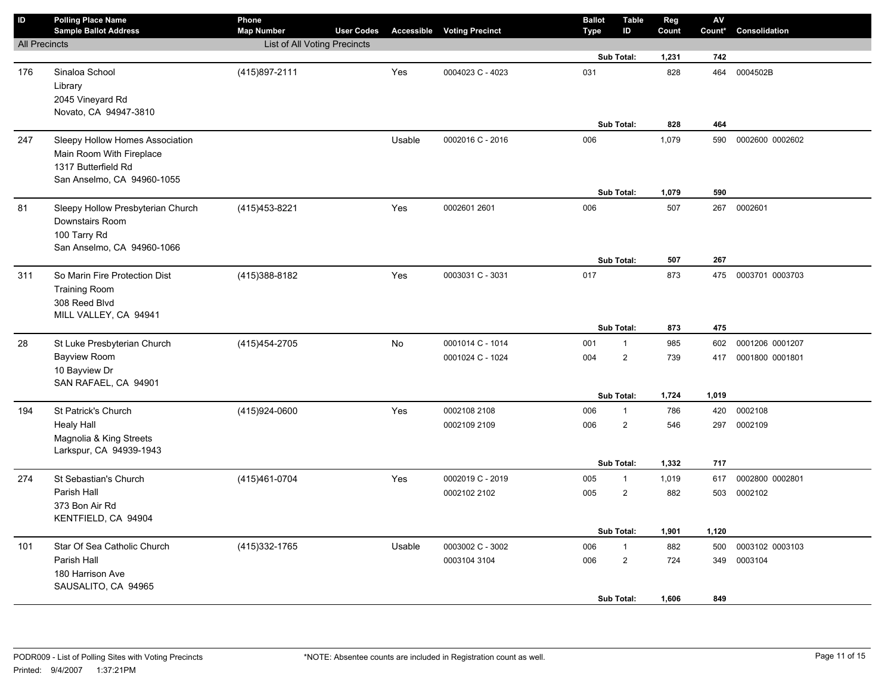| $\overline{D}$       | <b>Polling Place Name</b><br><b>Sample Ballot Address</b>                                                        | Phone<br><b>Map Number</b>   | <b>User Codes</b> |           | <b>Accessible Voting Precinct</b> | <b>Ballot</b><br><b>Type</b> | <b>Table</b><br>ID                           | Reg<br>Count        | AV<br>Count*      | Consolidation      |
|----------------------|------------------------------------------------------------------------------------------------------------------|------------------------------|-------------------|-----------|-----------------------------------|------------------------------|----------------------------------------------|---------------------|-------------------|--------------------|
| <b>All Precincts</b> |                                                                                                                  | List of All Voting Precincts |                   |           |                                   |                              |                                              |                     |                   |                    |
|                      |                                                                                                                  |                              |                   |           |                                   |                              | Sub Total:                                   | 1,231               | 742               |                    |
| 176                  | Sinaloa School<br>Library<br>2045 Vineyard Rd<br>Novato, CA 94947-3810                                           | (415) 897-2111               |                   | Yes       | 0004023 C - 4023                  | 031                          | Sub Total:                                   | 828<br>828          | 464<br>464        | 0004502B           |
|                      |                                                                                                                  |                              |                   |           |                                   |                              |                                              |                     |                   |                    |
| 247                  | Sleepy Hollow Homes Association<br>Main Room With Fireplace<br>1317 Butterfield Rd<br>San Anselmo, CA 94960-1055 |                              |                   | Usable    | 0002016 C - 2016                  | 006                          | Sub Total:                                   | 1,079<br>1,079      | 590<br>590        | 0002600 0002602    |
| 81                   | Sleepy Hollow Presbyterian Church<br>Downstairs Room<br>100 Tarry Rd<br>San Anselmo, CA 94960-1066               | (415) 453-8221               |                   | Yes       | 0002601 2601                      | 006                          | <b>Sub Total:</b>                            | 507                 | 267               | 0002601            |
|                      |                                                                                                                  |                              |                   |           |                                   |                              |                                              | 507                 | 267               |                    |
| 311                  | So Marin Fire Protection Dist<br><b>Training Room</b><br>308 Reed Blvd<br>MILL VALLEY, CA 94941                  | (415) 388-8182               |                   | Yes       | 0003031 C - 3031                  | 017                          | Sub Total:                                   | 873<br>873          | 475<br>475        | 0003701 0003703    |
| 28                   | St Luke Presbyterian Church                                                                                      | (415) 454-2705               |                   | <b>No</b> | 0001014 C - 1014                  | 001                          | $\mathbf{1}$                                 | 985                 | 602               | 0001206 0001207    |
|                      | <b>Bayview Room</b><br>10 Bayview Dr<br>SAN RAFAEL, CA 94901                                                     |                              |                   |           | 0001024 C - 1024                  | 004                          | $\overline{2}$                               | 739                 | 417               | 0001800 0001801    |
|                      |                                                                                                                  |                              |                   |           |                                   |                              | Sub Total:                                   | 1,724               | 1,019             |                    |
| 194                  | St Patrick's Church<br><b>Healy Hall</b><br>Magnolia & King Streets<br>Larkspur, CA 94939-1943                   | (415)924-0600                |                   | Yes       | 0002108 2108<br>0002109 2109      | 006<br>006                   | $\mathbf{1}$<br>$\overline{2}$<br>Sub Total: | 786<br>546<br>1,332 | 420<br>297<br>717 | 0002108<br>0002109 |
| 274                  | St Sebastian's Church                                                                                            | (415)461-0704                |                   | Yes       | 0002019 C - 2019                  | 005                          | $\mathbf{1}$                                 | 1,019               | 617               | 0002800 0002801    |
|                      | Parish Hall<br>373 Bon Air Rd<br>KENTFIELD, CA 94904                                                             |                              |                   |           | 0002102 2102                      | 005                          | 2<br>Sub Total:                              | 882<br>1,901        | 503<br>1,120      | 0002102            |
| 101                  | Star Of Sea Catholic Church                                                                                      | (415) 332-1765               |                   | Usable    | 0003002 C - 3002                  | 006                          | $\mathbf{1}$                                 | 882                 | 500               | 0003102 0003103    |
|                      | Parish Hall<br>180 Harrison Ave<br>SAUSALITO, CA 94965                                                           |                              |                   |           | 0003104 3104                      | 006                          | $\overline{2}$<br>Sub Total:                 | 724<br>1,606        | 349<br>849        | 0003104            |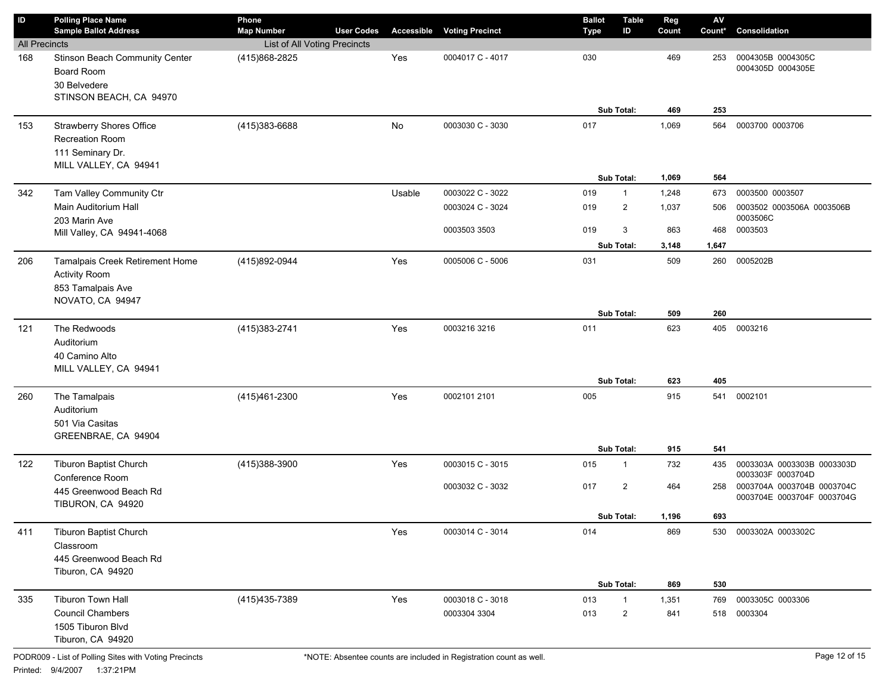| $\sf ID$                    | <b>Polling Place Name</b>                                                                              | Phone                                         |                   |            |                                  | <b>Ballot</b> | <b>Table</b>                     | Reg            | $\mathsf{AV}$ |                                                          |
|-----------------------------|--------------------------------------------------------------------------------------------------------|-----------------------------------------------|-------------------|------------|----------------------------------|---------------|----------------------------------|----------------|---------------|----------------------------------------------------------|
|                             | <b>Sample Ballot Address</b>                                                                           | <b>Map Number</b>                             | <b>User Codes</b> | Accessible | <b>Voting Precinct</b>           | <b>Type</b>   | ID                               | Count          | Count*        | Consolidation                                            |
| <b>All Precincts</b><br>168 | Stinson Beach Community Center<br><b>Board Room</b><br>30 Belvedere<br>STINSON BEACH, CA 94970         | List of All Voting Precincts<br>(415)868-2825 |                   | Yes        | 0004017 C - 4017                 | 030           |                                  | 469            | 253           | 0004305B 0004305C<br>0004305D 0004305E                   |
|                             |                                                                                                        |                                               |                   |            |                                  |               | Sub Total:                       | 469            | 253           |                                                          |
| 153                         | <b>Strawberry Shores Office</b><br><b>Recreation Room</b><br>111 Seminary Dr.<br>MILL VALLEY, CA 94941 | (415)383-6688                                 |                   | No         | 0003030 C - 3030                 | 017           | Sub Total:                       | 1,069<br>1,069 | 564<br>564    | 0003700 0003706                                          |
| 342                         | Tam Valley Community Ctr                                                                               |                                               |                   | Usable     | 0003022 C - 3022                 | 019           | $\overline{1}$                   | 1,248          | 673           | 0003500 0003507                                          |
|                             | Main Auditorium Hall<br>203 Marin Ave                                                                  |                                               |                   |            | 0003024 C - 3024                 | 019           | $\overline{2}$                   | 1,037          | 506           | 0003502 0003506A 0003506B<br>0003506C                    |
|                             | Mill Valley, CA 94941-4068                                                                             |                                               |                   |            | 0003503 3503                     | 019           | 3                                | 863            | 468           | 0003503                                                  |
|                             |                                                                                                        |                                               |                   |            |                                  |               | Sub Total:                       | 3,148          | 1,647         |                                                          |
| 206                         | Tamalpais Creek Retirement Home<br><b>Activity Room</b><br>853 Tamalpais Ave<br>NOVATO, CA 94947       | (415)892-0944                                 |                   | Yes        | 0005006 C - 5006                 | 031           |                                  | 509            | 260           | 0005202B                                                 |
|                             |                                                                                                        |                                               |                   |            |                                  |               | Sub Total:                       | 509            | 260           |                                                          |
| 121                         | The Redwoods<br>Auditorium<br>40 Camino Alto<br>MILL VALLEY, CA 94941                                  | (415) 383-2741                                |                   | Yes        | 0003216 3216                     | 011           |                                  | 623            | 405           | 0003216                                                  |
|                             |                                                                                                        |                                               |                   |            |                                  |               | Sub Total:                       | 623            | 405           |                                                          |
| 260                         | The Tamalpais<br>Auditorium<br>501 Via Casitas<br>GREENBRAE, CA 94904                                  | (415)461-2300                                 |                   | Yes        | 0002101 2101                     | 005           |                                  | 915            | 541           | 0002101                                                  |
|                             |                                                                                                        |                                               |                   |            |                                  |               | Sub Total:                       | 915            | 541           |                                                          |
| 122                         | <b>Tiburon Baptist Church</b><br>Conference Room                                                       | (415)388-3900                                 |                   | Yes        | 0003015 C - 3015                 | 015           | $\overline{1}$                   | 732            | 435           | 0003303A 0003303B 0003303D<br>0003303F 0003704D          |
|                             | 445 Greenwood Beach Rd<br>TIBURON, CA 94920                                                            |                                               |                   |            | 0003032 C - 3032                 | 017           | $\overline{2}$                   | 464            | 258           | 0003704A 0003704B 0003704C<br>0003704E 0003704F 0003704G |
|                             |                                                                                                        |                                               |                   |            |                                  |               | Sub Total:                       | 1,196          | 693           |                                                          |
| 411                         | <b>Tiburon Baptist Church</b><br>Classroom<br>445 Greenwood Beach Rd<br>Tiburon, CA 94920              |                                               |                   | Yes        | 0003014 C - 3014                 | 014           |                                  | 869            | 530           | 0003302A 0003302C                                        |
|                             |                                                                                                        |                                               |                   |            |                                  |               | Sub Total:                       | 869            | 530           |                                                          |
| 335                         | <b>Tiburon Town Hall</b><br><b>Council Chambers</b><br>1505 Tiburon Blvd<br>Tiburon, CA 94920          | (415) 435-7389                                |                   | Yes        | 0003018 C - 3018<br>0003304 3304 | 013<br>013    | $\overline{1}$<br>$\overline{2}$ | 1,351<br>841   | 769<br>518    | 0003305C 0003306<br>0003304                              |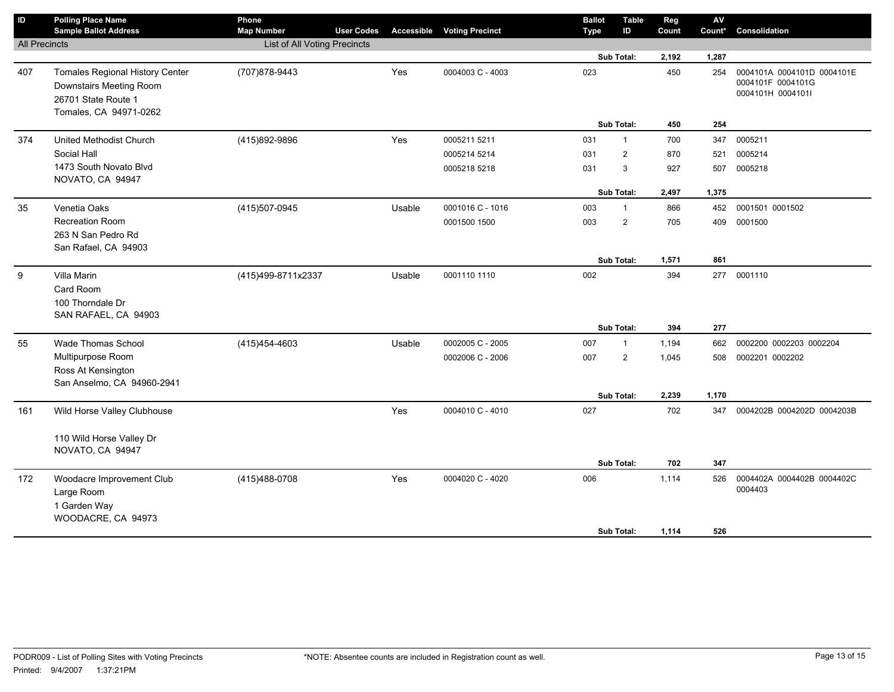| List of All Voting Precincts<br><b>All Precincts</b><br>Sub Total:<br>2,192<br>1,287<br>Yes<br>407<br><b>Tomales Regional History Center</b><br>(707) 878-9443<br>0004003 C - 4003<br>023<br>450<br>0004101A 0004101D 0004101E<br>254<br>0004101F 0004101G<br>Downstairs Meeting Room<br>0004101H 0004101I<br>26701 State Route 1<br>Tomales, CA 94971-0262<br>Sub Total:<br>450<br>254<br>Yes<br>700<br>0005211<br>United Methodist Church<br>(415)892-9896<br>0005211 5211<br>031<br>$\mathbf{1}$<br>347<br>374<br>Social Hall<br>$\overline{2}$<br>0005214 5214<br>870<br>521<br>0005214<br>031<br>1473 South Novato Blvd<br>$\mathbf{3}$<br>0005218 5218<br>031<br>927<br>507<br>0005218<br>NOVATO, CA 94947<br>Sub Total:<br>1,375<br>2,497<br>0001501 0001502<br>(415) 507-0945<br>0001016 C - 1016<br>003<br>$\mathbf{1}$<br>866<br>452<br>35<br>Venetia Oaks<br>Usable<br><b>Recreation Room</b><br>$\overline{2}$<br>0001500 1500<br>003<br>705<br>409<br>0001500<br>263 N San Pedro Rd<br>San Rafael, CA 94903<br>Sub Total:<br>861<br>1,571<br>9<br>Villa Marin<br>(415)499-8711x2337<br>Usable<br>002<br>394<br>277 0001110<br>0001110 1110<br>Card Room<br>100 Thorndale Dr | $\mathsf{ID}$ | <b>Polling Place Name</b><br><b>Sample Ballot Address</b> | Phone<br><b>Map Number</b> | <b>User Codes</b> | Accessible | <b>Voting Precinct</b> | <b>Ballot</b><br>Type | <b>Table</b><br>ID | Reg<br>Count | AV<br>Count* | Consolidation |
|------------------------------------------------------------------------------------------------------------------------------------------------------------------------------------------------------------------------------------------------------------------------------------------------------------------------------------------------------------------------------------------------------------------------------------------------------------------------------------------------------------------------------------------------------------------------------------------------------------------------------------------------------------------------------------------------------------------------------------------------------------------------------------------------------------------------------------------------------------------------------------------------------------------------------------------------------------------------------------------------------------------------------------------------------------------------------------------------------------------------------------------------------------------------------------------|---------------|-----------------------------------------------------------|----------------------------|-------------------|------------|------------------------|-----------------------|--------------------|--------------|--------------|---------------|
|                                                                                                                                                                                                                                                                                                                                                                                                                                                                                                                                                                                                                                                                                                                                                                                                                                                                                                                                                                                                                                                                                                                                                                                          |               |                                                           |                            |                   |            |                        |                       |                    |              |              |               |
|                                                                                                                                                                                                                                                                                                                                                                                                                                                                                                                                                                                                                                                                                                                                                                                                                                                                                                                                                                                                                                                                                                                                                                                          |               |                                                           |                            |                   |            |                        |                       |                    |              |              |               |
|                                                                                                                                                                                                                                                                                                                                                                                                                                                                                                                                                                                                                                                                                                                                                                                                                                                                                                                                                                                                                                                                                                                                                                                          |               |                                                           |                            |                   |            |                        |                       |                    |              |              |               |
|                                                                                                                                                                                                                                                                                                                                                                                                                                                                                                                                                                                                                                                                                                                                                                                                                                                                                                                                                                                                                                                                                                                                                                                          |               |                                                           |                            |                   |            |                        |                       |                    |              |              |               |
|                                                                                                                                                                                                                                                                                                                                                                                                                                                                                                                                                                                                                                                                                                                                                                                                                                                                                                                                                                                                                                                                                                                                                                                          |               |                                                           |                            |                   |            |                        |                       |                    |              |              |               |
|                                                                                                                                                                                                                                                                                                                                                                                                                                                                                                                                                                                                                                                                                                                                                                                                                                                                                                                                                                                                                                                                                                                                                                                          |               |                                                           |                            |                   |            |                        |                       |                    |              |              |               |
|                                                                                                                                                                                                                                                                                                                                                                                                                                                                                                                                                                                                                                                                                                                                                                                                                                                                                                                                                                                                                                                                                                                                                                                          |               |                                                           |                            |                   |            |                        |                       |                    |              |              |               |
|                                                                                                                                                                                                                                                                                                                                                                                                                                                                                                                                                                                                                                                                                                                                                                                                                                                                                                                                                                                                                                                                                                                                                                                          |               |                                                           |                            |                   |            |                        |                       |                    |              |              |               |
|                                                                                                                                                                                                                                                                                                                                                                                                                                                                                                                                                                                                                                                                                                                                                                                                                                                                                                                                                                                                                                                                                                                                                                                          |               |                                                           |                            |                   |            |                        |                       |                    |              |              |               |
|                                                                                                                                                                                                                                                                                                                                                                                                                                                                                                                                                                                                                                                                                                                                                                                                                                                                                                                                                                                                                                                                                                                                                                                          |               |                                                           |                            |                   |            |                        |                       |                    |              |              |               |
|                                                                                                                                                                                                                                                                                                                                                                                                                                                                                                                                                                                                                                                                                                                                                                                                                                                                                                                                                                                                                                                                                                                                                                                          |               |                                                           |                            |                   |            |                        |                       |                    |              |              |               |
|                                                                                                                                                                                                                                                                                                                                                                                                                                                                                                                                                                                                                                                                                                                                                                                                                                                                                                                                                                                                                                                                                                                                                                                          |               |                                                           |                            |                   |            |                        |                       |                    |              |              |               |
|                                                                                                                                                                                                                                                                                                                                                                                                                                                                                                                                                                                                                                                                                                                                                                                                                                                                                                                                                                                                                                                                                                                                                                                          |               |                                                           |                            |                   |            |                        |                       |                    |              |              |               |
|                                                                                                                                                                                                                                                                                                                                                                                                                                                                                                                                                                                                                                                                                                                                                                                                                                                                                                                                                                                                                                                                                                                                                                                          |               |                                                           |                            |                   |            |                        |                       |                    |              |              |               |
|                                                                                                                                                                                                                                                                                                                                                                                                                                                                                                                                                                                                                                                                                                                                                                                                                                                                                                                                                                                                                                                                                                                                                                                          |               |                                                           |                            |                   |            |                        |                       |                    |              |              |               |
|                                                                                                                                                                                                                                                                                                                                                                                                                                                                                                                                                                                                                                                                                                                                                                                                                                                                                                                                                                                                                                                                                                                                                                                          |               |                                                           |                            |                   |            |                        |                       |                    |              |              |               |
| SAN RAFAEL, CA 94903                                                                                                                                                                                                                                                                                                                                                                                                                                                                                                                                                                                                                                                                                                                                                                                                                                                                                                                                                                                                                                                                                                                                                                     |               |                                                           |                            |                   |            |                        |                       |                    |              |              |               |
| Sub Total:<br>277<br>394                                                                                                                                                                                                                                                                                                                                                                                                                                                                                                                                                                                                                                                                                                                                                                                                                                                                                                                                                                                                                                                                                                                                                                 |               |                                                           |                            |                   |            |                        |                       |                    |              |              |               |
| Wade Thomas School<br>(415) 454-4603<br>Usable<br>0002005 C - 2005<br>0002200 0002203 0002204<br>55<br>007<br>$\overline{1}$<br>1,194<br>662                                                                                                                                                                                                                                                                                                                                                                                                                                                                                                                                                                                                                                                                                                                                                                                                                                                                                                                                                                                                                                             |               |                                                           |                            |                   |            |                        |                       |                    |              |              |               |
| Multipurpose Room<br>$\overline{2}$<br>0002006 C - 2006<br>007<br>1,045<br>0002201 0002202<br>508                                                                                                                                                                                                                                                                                                                                                                                                                                                                                                                                                                                                                                                                                                                                                                                                                                                                                                                                                                                                                                                                                        |               |                                                           |                            |                   |            |                        |                       |                    |              |              |               |
| Ross At Kensington                                                                                                                                                                                                                                                                                                                                                                                                                                                                                                                                                                                                                                                                                                                                                                                                                                                                                                                                                                                                                                                                                                                                                                       |               |                                                           |                            |                   |            |                        |                       |                    |              |              |               |
| San Anselmo, CA 94960-2941                                                                                                                                                                                                                                                                                                                                                                                                                                                                                                                                                                                                                                                                                                                                                                                                                                                                                                                                                                                                                                                                                                                                                               |               |                                                           |                            |                   |            |                        |                       |                    |              |              |               |
| 1,170<br>Sub Total:<br>2,239                                                                                                                                                                                                                                                                                                                                                                                                                                                                                                                                                                                                                                                                                                                                                                                                                                                                                                                                                                                                                                                                                                                                                             |               |                                                           |                            |                   |            |                        |                       |                    |              |              |               |
| Yes<br>161<br>Wild Horse Valley Clubhouse<br>0004010 C - 4010<br>027<br>702<br>0004202B 0004202D 0004203B<br>347                                                                                                                                                                                                                                                                                                                                                                                                                                                                                                                                                                                                                                                                                                                                                                                                                                                                                                                                                                                                                                                                         |               |                                                           |                            |                   |            |                        |                       |                    |              |              |               |
|                                                                                                                                                                                                                                                                                                                                                                                                                                                                                                                                                                                                                                                                                                                                                                                                                                                                                                                                                                                                                                                                                                                                                                                          |               |                                                           |                            |                   |            |                        |                       |                    |              |              |               |
| 110 Wild Horse Valley Dr                                                                                                                                                                                                                                                                                                                                                                                                                                                                                                                                                                                                                                                                                                                                                                                                                                                                                                                                                                                                                                                                                                                                                                 |               |                                                           |                            |                   |            |                        |                       |                    |              |              |               |
| NOVATO, CA 94947                                                                                                                                                                                                                                                                                                                                                                                                                                                                                                                                                                                                                                                                                                                                                                                                                                                                                                                                                                                                                                                                                                                                                                         |               |                                                           |                            |                   |            |                        |                       |                    |              |              |               |
| 347<br>Sub Total:<br>702                                                                                                                                                                                                                                                                                                                                                                                                                                                                                                                                                                                                                                                                                                                                                                                                                                                                                                                                                                                                                                                                                                                                                                 |               |                                                           |                            |                   |            |                        |                       |                    |              |              |               |
| Yes<br>0004020 C - 4020<br>006<br>172<br>Woodacre Improvement Club<br>(415)488-0708<br>1,114<br>526<br>0004402A 0004402B 0004402C<br>0004403                                                                                                                                                                                                                                                                                                                                                                                                                                                                                                                                                                                                                                                                                                                                                                                                                                                                                                                                                                                                                                             |               |                                                           |                            |                   |            |                        |                       |                    |              |              |               |
| Large Room                                                                                                                                                                                                                                                                                                                                                                                                                                                                                                                                                                                                                                                                                                                                                                                                                                                                                                                                                                                                                                                                                                                                                                               |               |                                                           |                            |                   |            |                        |                       |                    |              |              |               |
| 1 Garden Way<br>WOODACRE, CA 94973                                                                                                                                                                                                                                                                                                                                                                                                                                                                                                                                                                                                                                                                                                                                                                                                                                                                                                                                                                                                                                                                                                                                                       |               |                                                           |                            |                   |            |                        |                       |                    |              |              |               |
| Sub Total:<br>526<br>1,114                                                                                                                                                                                                                                                                                                                                                                                                                                                                                                                                                                                                                                                                                                                                                                                                                                                                                                                                                                                                                                                                                                                                                               |               |                                                           |                            |                   |            |                        |                       |                    |              |              |               |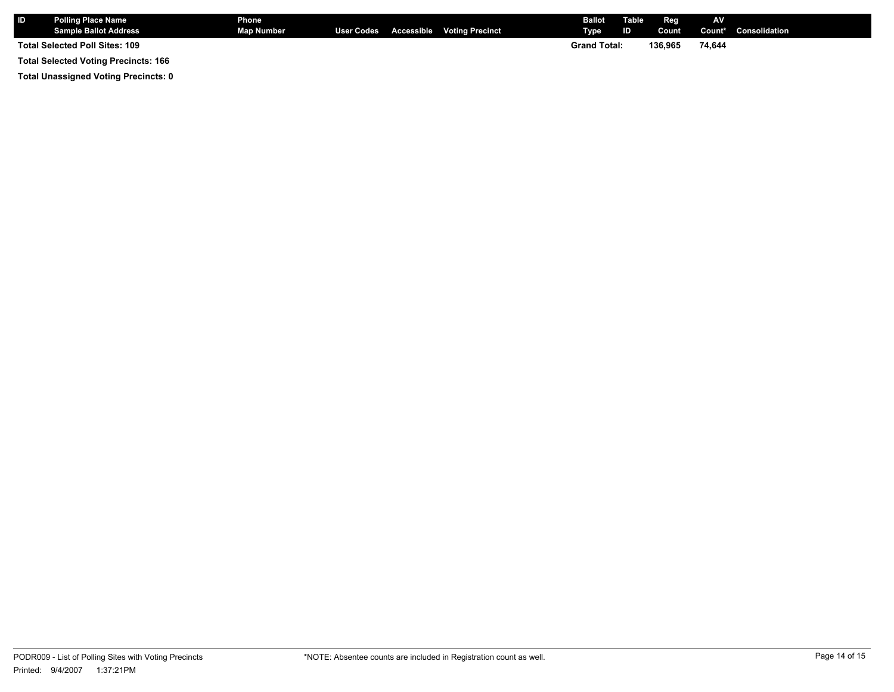| I ID                                        | <b>Polling Place Name</b><br><b>Sample Ballot Address</b> | Phone <b>M</b><br>Map Number |  |  | User Codes Accessible Voting Precinct | <b>Ballot</b><br>Type | Table<br><b>ID</b> | Reg<br>Count | <b>AV</b> | <b>Count*</b> Consolidation |
|---------------------------------------------|-----------------------------------------------------------|------------------------------|--|--|---------------------------------------|-----------------------|--------------------|--------------|-----------|-----------------------------|
| <b>Total Selected Poll Sites: 109</b>       |                                                           |                              |  |  |                                       | <b>Grand Total:</b>   |                    | 136.965      | 74,644    |                             |
| <b>Total Selected Voting Precincts: 166</b> |                                                           |                              |  |  |                                       |                       |                    |              |           |                             |

**Total Unassigned Voting Precincts: 0**